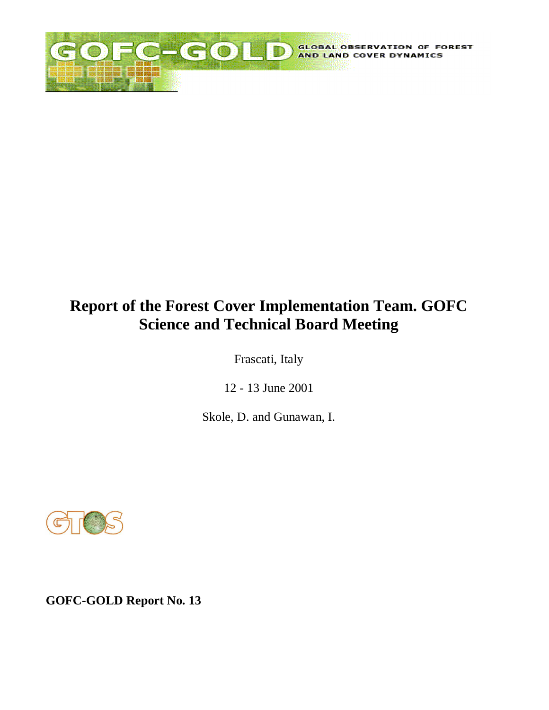

# **Report of the Forest Cover Implementation Team. GOFC Science and Technical Board Meeting**

Frascati, Italy

12 - 13 June 2001

Skole, D. and Gunawan, I.



**GOFC-GOLD Report No. 13**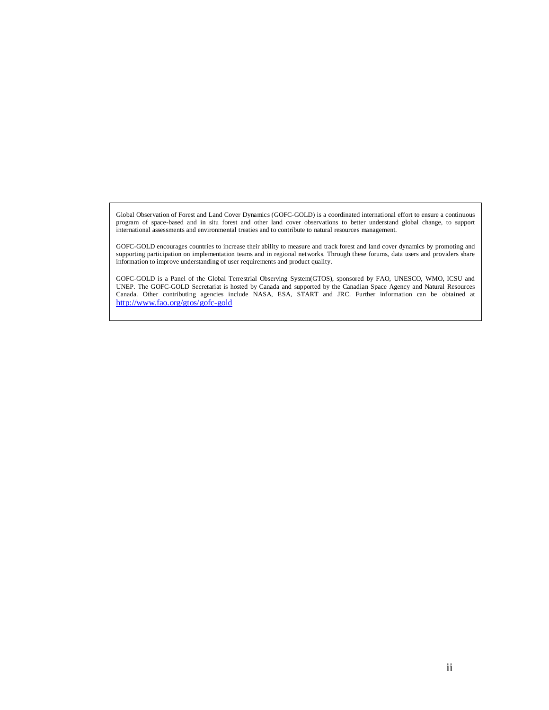Global Observation of Forest and Land Cover Dynamics (GOFC-GOLD) is a coordinated international effort to ensure a continuous program of space-based and in situ forest and other land cover observations to better understand global change, to support international assessments and environmental treaties and to contribute to natural resources management.

GOFC-GOLD encourages countries to increase their ability to measure and track forest and land cover dynamics by promoting and supporting participation on implementation teams and in regional networks. Through these forums, data users and providers share information to improve understanding of user requirements and product quality.

GOFC-GOLD is a Panel of the Global Terrestrial Observing System(GTOS), sponsored by FAO, UNESCO, WMO, ICSU and UNEP. The GOFC-GOLD Secretariat is hosted by Canada and supported by the Canadian Space Agency and Natural Resources Canada. Other contributing agencies include NASA, ESA, START and JRC. Further information can be obtained at <http://www.fao.org/gtos/gofc-gold>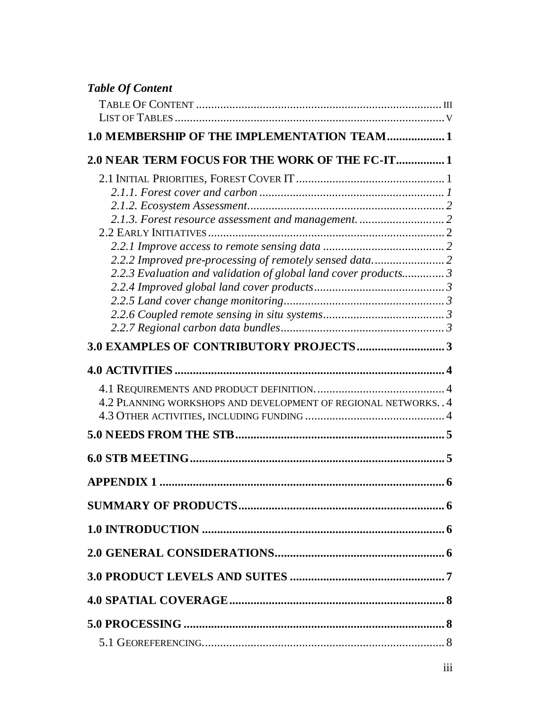| <b>Table Of Content</b>                                          |  |
|------------------------------------------------------------------|--|
|                                                                  |  |
|                                                                  |  |
| 1.0 MEMBERSHIP OF THE IMPLEMENTATION TEAM 1                      |  |
| 2.0 NEAR TERM FOCUS FOR THE WORK OF THE FC-IT 1                  |  |
|                                                                  |  |
|                                                                  |  |
|                                                                  |  |
|                                                                  |  |
|                                                                  |  |
| 2.2.2 Improved pre-processing of remotely sensed data 2          |  |
| 2.2.3 Evaluation and validation of global land cover products 3  |  |
|                                                                  |  |
|                                                                  |  |
|                                                                  |  |
|                                                                  |  |
|                                                                  |  |
|                                                                  |  |
|                                                                  |  |
| 4.2 PLANNING WORKSHOPS AND DEVELOPMENT OF REGIONAL NETWORKS. . 4 |  |
|                                                                  |  |
|                                                                  |  |
|                                                                  |  |
|                                                                  |  |
|                                                                  |  |
|                                                                  |  |
|                                                                  |  |
|                                                                  |  |
|                                                                  |  |
|                                                                  |  |
|                                                                  |  |
|                                                                  |  |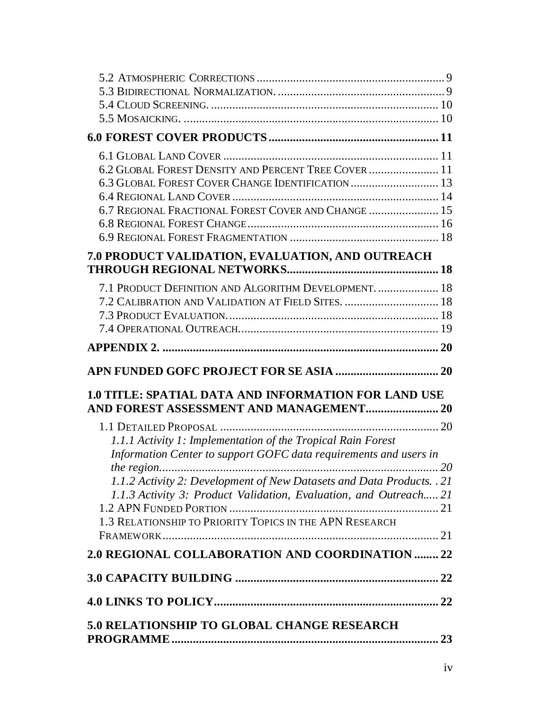| 6.2 GLOBAL FOREST DENSITY AND PERCENT TREE COVER  11                                                                                       |  |
|--------------------------------------------------------------------------------------------------------------------------------------------|--|
| 6.3 GLOBAL FOREST COVER CHANGE IDENTIFICATION  13                                                                                          |  |
|                                                                                                                                            |  |
| 6.7 REGIONAL FRACTIONAL FOREST COVER AND CHANGE  15                                                                                        |  |
|                                                                                                                                            |  |
|                                                                                                                                            |  |
| 7.0 PRODUCT VALIDATION, EVALUATION, AND OUTREACH                                                                                           |  |
|                                                                                                                                            |  |
| 7.1 PRODUCT DEFINITION AND ALGORITHM DEVELOPMENT.  18                                                                                      |  |
| 7.2 CALIBRATION AND VALIDATION AT FIELD SITES.  18                                                                                         |  |
|                                                                                                                                            |  |
|                                                                                                                                            |  |
|                                                                                                                                            |  |
|                                                                                                                                            |  |
|                                                                                                                                            |  |
|                                                                                                                                            |  |
| <b>1.0 TITLE: SPATIAL DATA AND INFORMATION FOR LAND USE</b>                                                                                |  |
|                                                                                                                                            |  |
|                                                                                                                                            |  |
| 1.1.1 Activity 1: Implementation of the Tropical Rain Forest                                                                               |  |
| Information Center to support GOFC data requirements and users in                                                                          |  |
|                                                                                                                                            |  |
| 1.1.2 Activity 2: Development of New Datasets and Data Products. . 21<br>1.1.3 Activity 3: Product Validation, Evaluation, and Outreach 21 |  |
|                                                                                                                                            |  |
| 1.3 RELATIONSHIP TO PRIORITY TOPICS IN THE APN RESEARCH                                                                                    |  |
|                                                                                                                                            |  |
| 2.0 REGIONAL COLLABORATION AND COORDINATION  22                                                                                            |  |
|                                                                                                                                            |  |
|                                                                                                                                            |  |
| 5.0 RELATIONSHIP TO GLOBAL CHANGE RESEARCH                                                                                                 |  |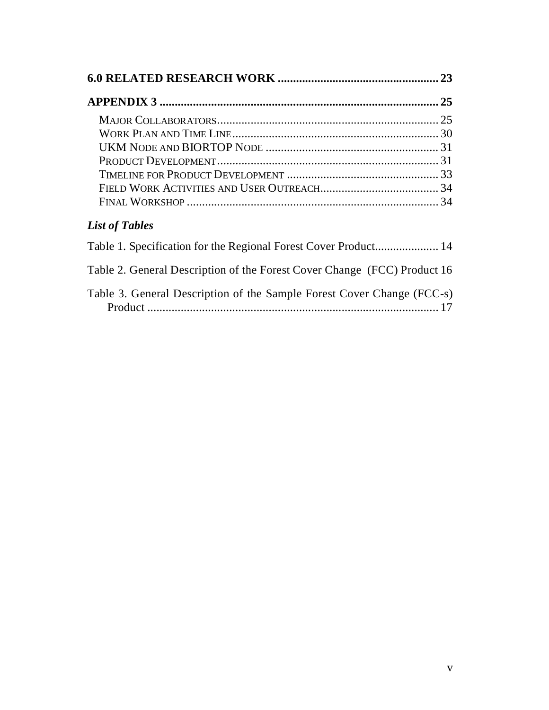# *List of Tables*

| Table 2. General Description of the Forest Cover Change (FCC) Product 16 |
|--------------------------------------------------------------------------|
| Table 3. General Description of the Sample Forest Cover Change (FCC-s)   |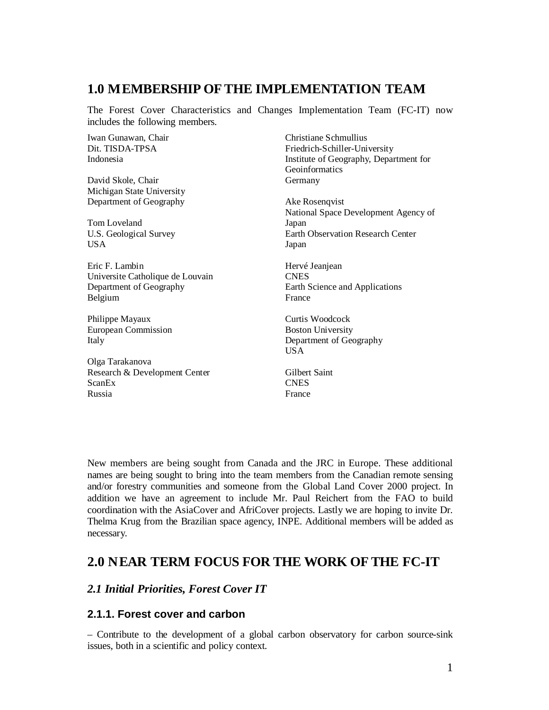### **1.0 M EMBERSHIP OF THE IMPLEMENTATION TEAM**

The Forest Cover Characteristics and Changes Implementation Team (FC-IT) now includes the following members.

Iwan Gunawan, Chair Dit. TISDA-TPSA Indonesia

David Skole, Chair Michigan State University Department of Geography

Tom Loveland U.S. Geological Survey **USA** 

Eric F. Lambin Universite Catholique de Louvain Department of Geography Belgium

Philippe Mayaux European Commission Italy

Olga Tarakanova Research & Development Center ScanEx Russia

Christiane Schmullius Friedrich-Schiller-University Institute of Geography, Department for Geoinformatics Germany

Ake Rosenqvist National Space Development Agency of Japan Earth Observation Research Center Japan

Hervé Jeanjean **CNES** Earth Science and Applications France

Curtis Woodcock Boston University Department of Geography USA

Gilbert Saint **CNES** France

New members are being sought from Canada and the JRC in Europe. These additional names are being sought to bring into the team members from the Canadian remote sensing and/or forestry communities and someone from the Global Land Cover 2000 project. In addition we have an agreement to include Mr. Paul Reichert from the FAO to build coordination with the AsiaCover and AfriCover projects. Lastly we are hoping to invite Dr. Thelma Krug from the Brazilian space agency, INPE. Additional members will be added as necessary.

### **2.0 N EAR TERM FOCUS FOR THE WORK OF THE FC-IT**

#### *2.1 Initial Priorities, Forest Cover IT*

#### **2.1.1. Forest cover and carbon**

– Contribute to the development of a global carbon observatory for carbon source-sink issues, both in a scientific and policy context.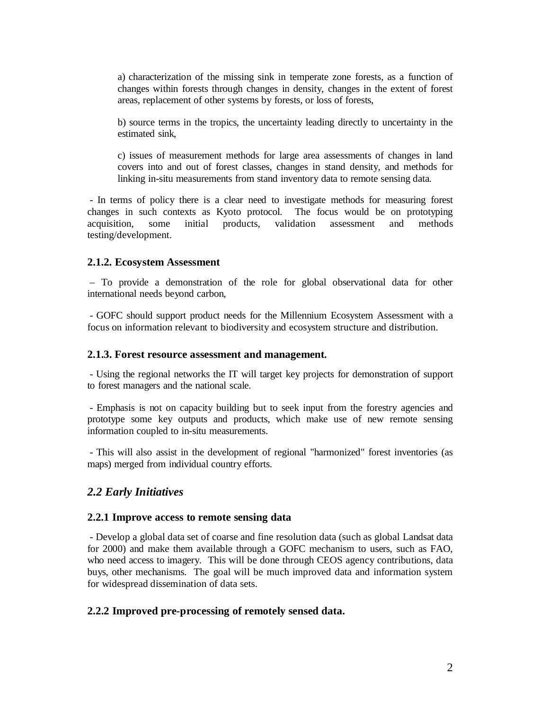a) characterization of the missing sink in temperate zone forests, as a function of changes within forests through changes in density, changes in the extent of forest areas, replacement of other systems by forests, or loss of forests,

b) source terms in the tropics, the uncertainty leading directly to uncertainty in the estimated sink,

c) issues of measurement methods for large area assessments of changes in land covers into and out of forest classes, changes in stand density, and methods for linking in-situ measurements from stand inventory data to remote sensing data.

 - In terms of policy there is a clear need to investigate methods for measuring forest changes in such contexts as Kyoto protocol. The focus would be on prototyping acquisition, some initial products, validation assessment and methods testing/development.

#### **2.1.2. Ecosystem Assessment**

 – To provide a demonstration of the role for global observational data for other international needs beyond carbon,

 - GOFC should support product needs for the Millennium Ecosystem Assessment with a focus on information relevant to biodiversity and ecosystem structure and distribution.

#### **2.1.3. Forest resource assessment and management***.*

 - Using the regional networks the IT will target key projects for demonstration of support to forest managers and the national scale.

 - Emphasis is not on capacity building but to seek input from the forestry agencies and prototype some key outputs and products, which make use of new remote sensing information coupled to in-situ measurements.

 - This will also assist in the development of regional "harmonized" forest inventories (as maps) merged from individual country efforts.

#### *2.2 Early Initiatives*

#### **2.2.1 Improve access to remote sensing data**

 *-* Develop a global data set of coarse and fine resolution data (such as global Landsat data for 2000) and make them available through a GOFC mechanism to users, such as FAO, who need access to imagery. This will be done through CEOS agency contributions, data buys, other mechanisms. The goal will be much improved data and information system for widespread dissemination of data sets.

#### **2.2.2 Improved pre-processing of remotely sensed data.**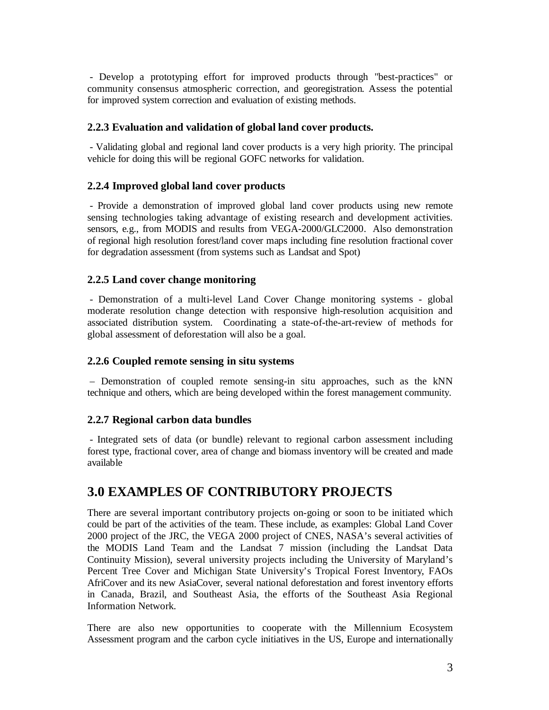- Develop a prototyping effort for improved products through "best-practices" or community consensus atmospheric correction, and georegistration. Assess the potential for improved system correction and evaluation of existing methods.

#### **2.2.3 Evaluation and validation of global land cover products.**

 - Validating global and regional land cover products is a very high priority. The principal vehicle for doing this will be regional GOFC networks for validation.

#### **2.2.4 Improved global land cover products**

 - Provide a demonstration of improved global land cover products using new remote sensing technologies taking advantage of existing research and development activities. sensors, e.g., from MODIS and results from VEGA-2000/GLC2000. Also demonstration of regional high resolution forest/land cover maps including fine resolution fractional cover for degradation assessment (from systems such as Landsat and Spot)

#### **2.2.5 Land cover change monitoring**

 - Demonstration of a multi-level Land Cover Change monitoring systems - global moderate resolution change detection with responsive high-resolution acquisition and associated distribution system. Coordinating a state-of-the-art-review of methods for global assessment of deforestation will also be a goal.

#### **2.2.6 Coupled remote sensing in situ systems**

– Demonstration of coupled remote sensing-in situ approaches, such as the kNN technique and others, which are being developed within the forest management community.

#### **2.2.7 Regional carbon data bundles**

 - Integrated sets of data (or bundle) relevant to regional carbon assessment including forest type, fractional cover, area of change and biomass inventory will be created and made available

### **3.0 EXAMPLES OF CONTRIBUTORY PROJECTS**

There are several important contributory projects on-going or soon to be initiated which could be part of the activities of the team. These include, as examples: Global Land Cover 2000 project of the JRC, the VEGA 2000 project of CNES, NASA's several activities of the MODIS Land Team and the Landsat 7 mission (including the Landsat Data Continuity Mission), several university projects including the University of Maryland's Percent Tree Cover and Michigan State University's Tropical Forest Inventory, FAOs AfriCover and its new AsiaCover, several national deforestation and forest inventory efforts in Canada, Brazil, and Southeast Asia, the efforts of the Southeast Asia Regional Information Network.

There are also new opportunities to cooperate with the Millennium Ecosystem Assessment program and the carbon cycle initiatives in the US, Europe and internationally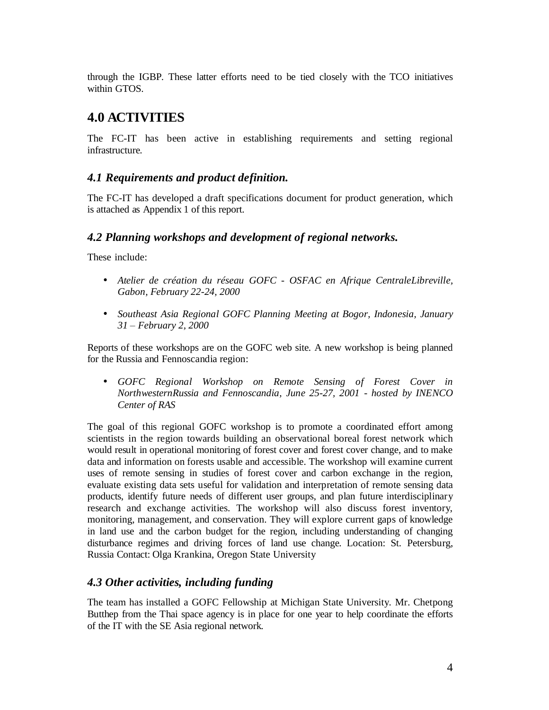through the IGBP. These latter efforts need to be tied closely with the TCO initiatives within GTOS.

## **4.0 ACTIVITIES**

The FC-IT has been active in establishing requirements and setting regional infrastructure.

#### *4.1 Requirements and product definition.*

The FC-IT has developed a draft specifications document for product generation, which is attached as Appendix 1 of this report.

#### *4.2 Planning workshops and development of regional networks.*

These include:

- *Atelier de création du réseau GOFC OSFAC en Afrique CentraleLibreville, Gabon, February 22-24, 2000*
- *Southeast Asia Regional GOFC Planning Meeting at Bogor, Indonesia, January 31 ± February 2, 2000*

Reports of these workshops are on the GOFC web site. A new workshop is being planned for the Russia and Fennoscandia region:

• *GOFC Regional Workshop on Remote Sensing of Forest Cover in NorthwesternRussia and Fennoscandia, June 25-27, 2001 - hosted by INENCO Center of RAS*

The goal of this regional GOFC workshop is to promote a coordinated effort among scientists in the region towards building an observational boreal forest network which would result in operational monitoring of forest cover and forest cover change, and to make data and information on forests usable and accessible. The workshop will examine current uses of remote sensing in studies of forest cover and carbon exchange in the region, evaluate existing data sets useful for validation and interpretation of remote sensing data products, identify future needs of different user groups, and plan future interdisciplinary research and exchange activities. The workshop will also discuss forest inventory, monitoring, management, and conservation. They will explore current gaps of knowledge in land use and the carbon budget for the region, including understanding of changing disturbance regimes and driving forces of land use change. Location: St. Petersburg, Russia Contact: Olga Krankina, Oregon State University

#### *4.3 Other activities, including funding*

The team has installed a GOFC Fellowship at Michigan State University. Mr. Chetpong Butthep from the Thai space agency is in place for one year to help coordinate the efforts of the IT with the SE Asia regional network.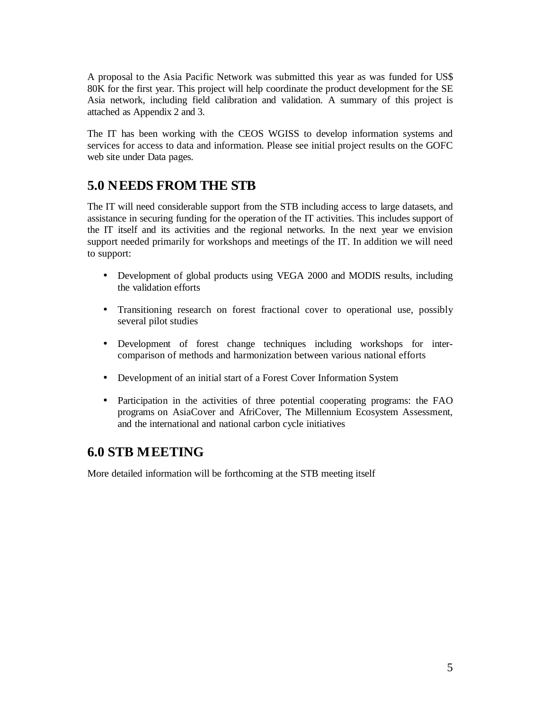A proposal to the Asia Pacific Network was submitted this year as was funded for US\$ 80K for the first year. This project will help coordinate the product development for the SE Asia network, including field calibration and validation. A summary of this project is attached as Appendix 2 and 3.

The IT has been working with the CEOS WGISS to develop information systems and services for access to data and information. Please see initial project results on the GOFC web site under Data pages.

## **5.0 N EEDS FROM THE STB**

The IT will need considerable support from the STB including access to large datasets, and assistance in securing funding for the operation of the IT activities. This includes support of the IT itself and its activities and the regional networks. In the next year we envision support needed primarily for workshops and meetings of the IT. In addition we will need to support:

- Development of global products using VEGA 2000 and MODIS results, including the validation efforts
- Transitioning research on forest fractional cover to operational use, possibly several pilot studies
- Development of forest change techniques including workshops for intercomparison of methods and harmonization between various national efforts
- Development of an initial start of a Forest Cover Information System
- Participation in the activities of three potential cooperating programs: the FAO programs on AsiaCover and AfriCover, The Millennium Ecosystem Assessment, and the international and national carbon cycle initiatives

### **6.0 STB M EETING**

More detailed information will be forthcoming at the STB meeting itself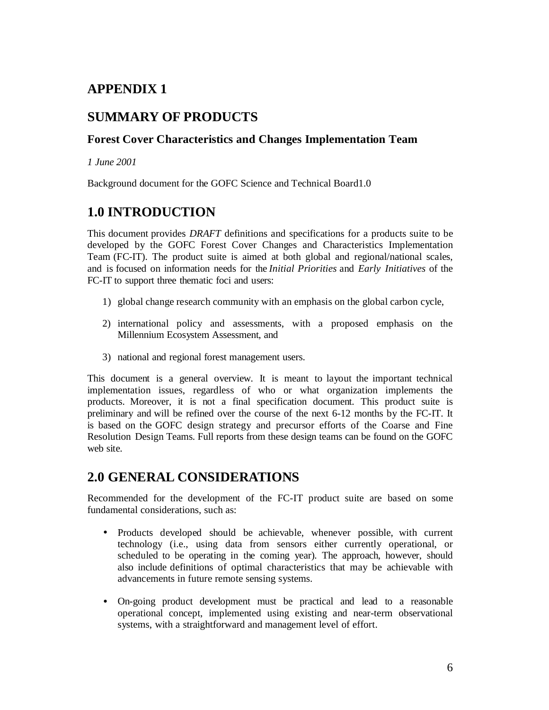## **APPENDIX 1**

## **SUMMARY OF PRODUCTS**

### **Forest Cover Characteristics and Changes Implementation Team**

*1 June 2001*

Background document for the GOFC Science and Technical Board1.0

## **1.0 INTRODUCTION**

This document provides *DRAFT* definitions and specifications for a products suite to be developed by the GOFC Forest Cover Changes and Characteristics Implementation Team (FC-IT). The product suite is aimed at both global and regional/national scales, and is focused on information needs for the *Initial Priorities* and *Early Initiatives* of the FC-IT to support three thematic foci and users:

- 1) global change research community with an emphasis on the global carbon cycle,
- 2) international policy and assessments, with a proposed emphasis on the Millennium Ecosystem Assessment, and
- 3) national and regional forest management users.

This document is a general overview. It is meant to layout the important technical implementation issues, regardless of who or what organization implements the products. Moreover, it is not a final specification document. This product suite is preliminary and will be refined over the course of the next 6-12 months by the FC-IT. It is based on the GOFC design strategy and precursor efforts of the Coarse and Fine Resolution Design Teams. Full reports from these design teams can be found on the GOFC web site.

## **2.0 GENERAL CONSIDERATIONS**

Recommended for the development of the FC-IT product suite are based on some fundamental considerations, such as:

- Products developed should be achievable, whenever possible, with current technology (i.e., using data from sensors either currently operational, or scheduled to be operating in the coming year). The approach, however, should also include definitions of optimal characteristics that may be achievable with advancements in future remote sensing systems.
- On-going product development must be practical and lead to a reasonable operational concept, implemented using existing and near-term observational systems, with a straightforward and management level of effort.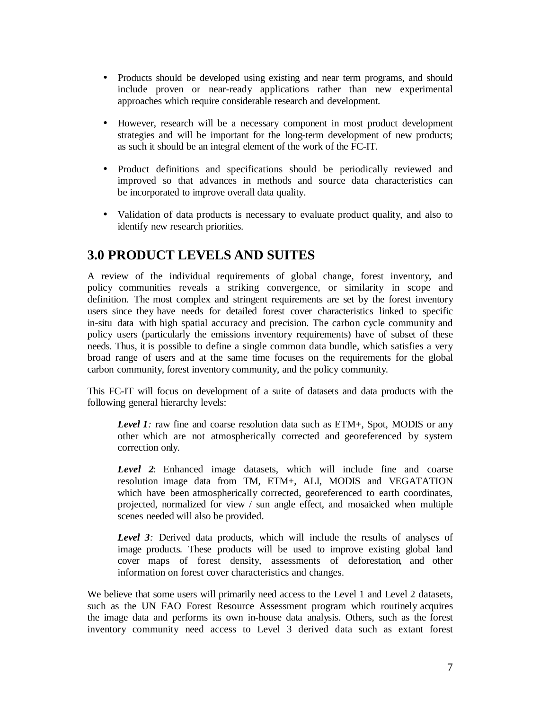- Products should be developed using existing and near term programs, and should include proven or near-ready applications rather than new experimental approaches which require considerable research and development.
- However, research will be a necessary component in most product development strategies and will be important for the long-term development of new products; as such it should be an integral element of the work of the FC-IT.
- Product definitions and specifications should be periodically reviewed and improved so that advances in methods and source data characteristics can be incorporated to improve overall data quality.
- Validation of data products is necessary to evaluate product quality, and also to identify new research priorities.

## **3.0 PRODUCT LEVELS AND SUITES**

A review of the individual requirements of global change, forest inventory, and policy communities reveals a striking convergence, or similarity in scope and definition. The most complex and stringent requirements are set by the forest inventory users since they have needs for detailed forest cover characteristics linked to specific in-situ data with high spatial accuracy and precision. The carbon cycle community and policy users (particularly the emissions inventory requirements) have of subset of these needs. Thus, it is possible to define a single common data bundle, which satisfies a very broad range of users and at the same time focuses on the requirements for the global carbon community, forest inventory community, and the policy community.

This FC-IT will focus on development of a suite of datasets and data products with the following general hierarchy levels:

*Level 1:* raw fine and coarse resolution data such as ETM+, Spot, MODIS or any other which are not atmospherically corrected and georeferenced by system correction only.

*Level 2*: Enhanced image datasets, which will include fine and coarse resolution image data from TM, ETM+, ALI, MODIS and VEGATATION which have been atmospherically corrected, georeferenced to earth coordinates, projected, normalized for view / sun angle effect, and mosaicked when multiple scenes needed will also be provided.

*Level 3:* Derived data products, which will include the results of analyses of image products. These products will be used to improve existing global land cover maps of forest density, assessments of deforestation, and other information on forest cover characteristics and changes.

We believe that some users will primarily need access to the Level 1 and Level 2 datasets, such as the UN FAO Forest Resource Assessment program which routinely acquires the image data and performs its own in-house data analysis. Others, such as the forest inventory community need access to Level 3 derived data such as extant forest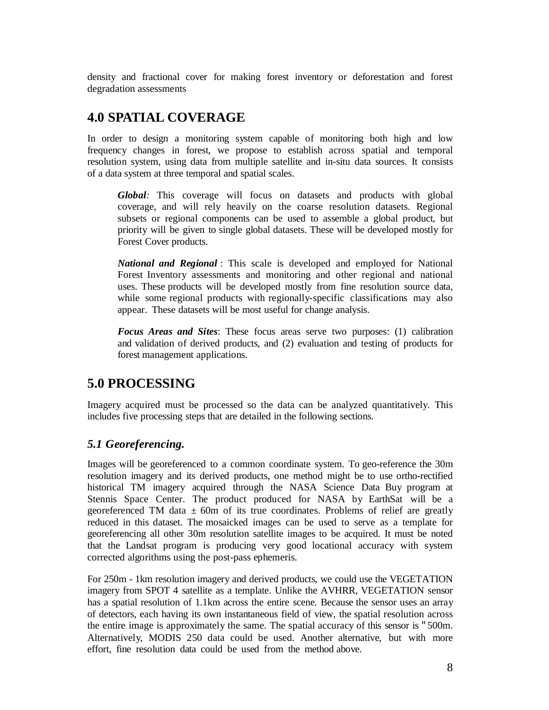density and fractional cover for making forest inventory or deforestation and forest degradation assessments

## **4.0 SPATIAL COVERAGE**

In order to design a monitoring system capable of monitoring both high and low frequency changes in forest, we propose to establish across spatial and temporal resolution system, using data from multiple satellite and in-situ data sources. It consists of a data system at three temporal and spatial scales.

*Global:* This coverage will focus on datasets and products with global coverage, and will rely heavily on the coarse resolution datasets. Regional subsets or regional components can be used to assemble a global product, but priority will be given to single global datasets. These will be developed mostly for Forest Cover products.

*National and Regional* : This scale is developed and employed for National Forest Inventory assessments and monitoring and other regional and national uses. These products will be developed mostly from fine resolution source data, while some regional products with regionally-specific classifications may also appear. These datasets will be most useful for change analysis.

*Focus Areas and Sites*: These focus areas serve two purposes: (1) calibration and validation of derived products, and (2) evaluation and testing of products for forest management applications.

### **5.0 PROCESSING**

Imagery acquired must be processed so the data can be analyzed quantitatively. This includes five processing steps that are detailed in the following sections.

### *5.1 Georeferencing.*

Images will be georeferenced to a common coordinate system. To geo-reference the 30m resolution imagery and its derived products, one method might be to use ortho-rectified historical TM imagery acquired through the NASA Science Data Buy program at Stennis Space Center. The product produced for NASA by EarthSat will be a georeferenced TM data  $\pm$  60m of its true coordinates. Problems of relief are greatly reduced in this dataset. The mosaicked images can be used to serve as a template for georeferencing all other 30m resolution satellite images to be acquired. It must be noted that the Landsat program is producing very good locational accuracy with system corrected algorithms using the post-pass ephemeris.

For 250m - 1km resolution imagery and derived products, we could use the VEGETATION imagery from SPOT 4 satellite as a template. Unlike the AVHRR, VEGETATION sensor has a spatial resolution of 1.1km across the entire scene. Because the sensor uses an array of detectors, each having its own instantaneous field of view, the spatial resolution across the entire image is approximately the same. The spatial accuracy of this sensor is 3500m. Alternatively, MODIS 250 data could be used. Another alternative, but with more effort, fine resolution data could be used from the method above.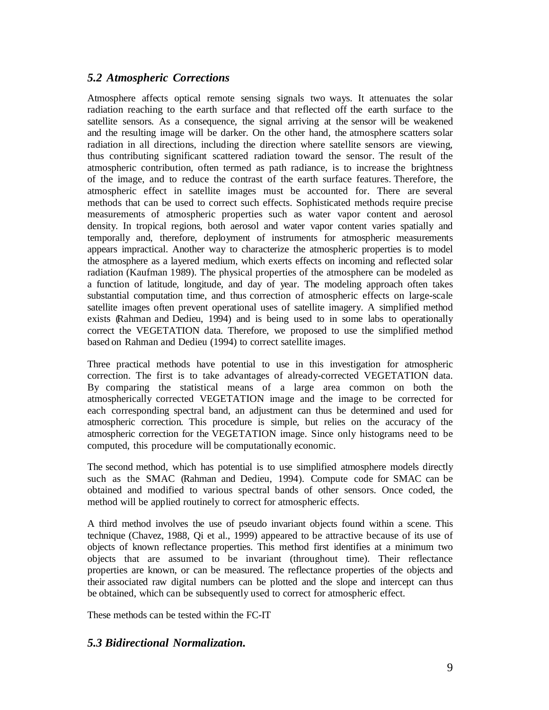#### *5.2 Atmospheric Corrections*

Atmosphere affects optical remote sensing signals two ways. It attenuates the solar radiation reaching to the earth surface and that reflected off the earth surface to the satellite sensors. As a consequence, the signal arriving at the sensor will be weakened and the resulting image will be darker. On the other hand, the atmosphere scatters solar radiation in all directions, including the direction where satellite sensors are viewing, thus contributing significant scattered radiation toward the sensor. The result of the atmospheric contribution, often termed as path radiance, is to increase the brightness of the image, and to reduce the contrast of the earth surface features. Therefore, the atmospheric effect in satellite images must be accounted for. There are several methods that can be used to correct such effects. Sophisticated methods require precise measurements of atmospheric properties such as water vapor content and aerosol density. In tropical regions, both aerosol and water vapor content varies spatially and temporally and, therefore, deployment of instruments for atmospheric measurements appears impractical. Another way to characterize the atmospheric properties is to model the atmosphere as a layered medium, which exerts effects on incoming and reflected solar radiation (Kaufman 1989). The physical properties of the atmosphere can be modeled as a function of latitude, longitude, and day of year. The modeling approach often takes substantial computation time, and thus correction of atmospheric effects on large-scale satellite images often prevent operational uses of satellite imagery. A simplified method exists (Rahman and Dedieu, 1994) and is being used to in some labs to operationally correct the VEGETATION data. Therefore, we proposed to use the simplified method based on Rahman and Dedieu (1994) to correct satellite images.

Three practical methods have potential to use in this investigation for atmospheric correction. The first is to take advantages of already-corrected VEGETATION data. By comparing the statistical means of a large area common on both the atmospherically corrected VEGETATION image and the image to be corrected for each corresponding spectral band, an adjustment can thus be determined and used for atmospheric correction. This procedure is simple, but relies on the accuracy of the atmospheric correction for the VEGETATION image. Since only histograms need to be computed, this procedure will be computationally economic.

The second method, which has potential is to use simplified atmosphere models directly such as the SMAC (Rahman and Dedieu, 1994). Compute code for SMAC can be obtained and modified to various spectral bands of other sensors. Once coded, the method will be applied routinely to correct for atmospheric effects.

A third method involves the use of pseudo invariant objects found within a scene. This technique (Chavez, 1988, Qi et al., 1999) appeared to be attractive because of its use of objects of known reflectance properties. This method first identifies at a minimum two objects that are assumed to be invariant (throughout time). Their reflectance properties are known, or can be measured. The reflectance properties of the objects and their associated raw digital numbers can be plotted and the slope and intercept can thus be obtained, which can be subsequently used to correct for atmospheric effect.

These methods can be tested within the FC-IT

#### *5.3 Bidirectional Normalization.*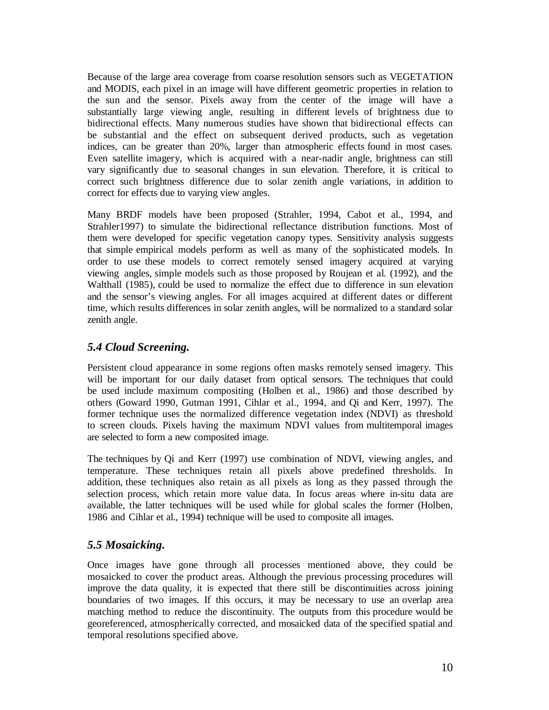Because of the large area coverage from coarse resolution sensors such as VEGETATION and MODIS, each pixel in an image will have different geometric properties in relation to the sun and the sensor. Pixels away from the center of the image will have a substantially large viewing angle, resulting in different levels of brightness due to bidirectional effects. Many numerous studies have shown that bidirectional effects can be substantial and the effect on subsequent derived products, such as vegetation indices, can be greater than 20%, larger than atmospheric effects found in most cases. Even satellite imagery, which is acquired with a near-nadir angle, brightness can still vary significantly due to seasonal changes in sun elevation. Therefore, it is critical to correct such brightness difference due to solar zenith angle variations, in addition to correct for effects due to varying view angles.

Many BRDF models have been proposed (Strahler, 1994, Cabot et al., 1994, and Strahler1997) to simulate the bidirectional reflectance distribution functions. Most of them were developed for specific vegetation canopy types. Sensitivity analysis suggests that simple empirical models perform as well as many of the sophisticated models. In order to use these models to correct remotely sensed imagery acquired at varying viewing angles, simple models such as those proposed by Roujean et al. (1992), and the Walthall (1985), could be used to normalize the effect due to difference in sun elevation and the sensor's viewing angles. For all images acquired at different dates or different time, which results differences in solar zenith angles, will be normalized to a standard solar zenith angle.

#### *5.4 Cloud Screening.*

Persistent cloud appearance in some regions often masks remotely sensed imagery. This will be important for our daily dataset from optical sensors. The techniques that could be used include maximum compositing (Holben et al., 1986) and those described by others (Goward 1990, Gutman 1991, Cihlar et al., 1994, and Qi and Kerr, 1997). The former technique uses the normalized difference vegetation index (NDVI) as threshold to screen clouds. Pixels having the maximum NDVI values from multitemporal images are selected to form a new composited image.

The techniques by Qi and Kerr (1997) use combination of NDVI, viewing angles, and temperature. These techniques retain all pixels above predefined thresholds. In addition, these techniques also retain as all pixels as long as they passed through the selection process, which retain more value data. In focus areas where in-situ data are available, the latter techniques will be used while for global scales the former (Holben, 1986 and Cihlar et al., 1994) technique will be used to composite all images.

### *5.5 Mosaicking.*

Once images have gone through all processes mentioned above, they could be mosaicked to cover the product areas. Although the previous processing procedures will improve the data quality, it is expected that there still be discontinuities across joining boundaries of two images. If this occurs, it may be necessary to use an overlap area matching method to reduce the discontinuity. The outputs from this procedure would be georeferenced, atmospherically corrected, and mosaicked data of the specified spatial and temporal resolutions specified above.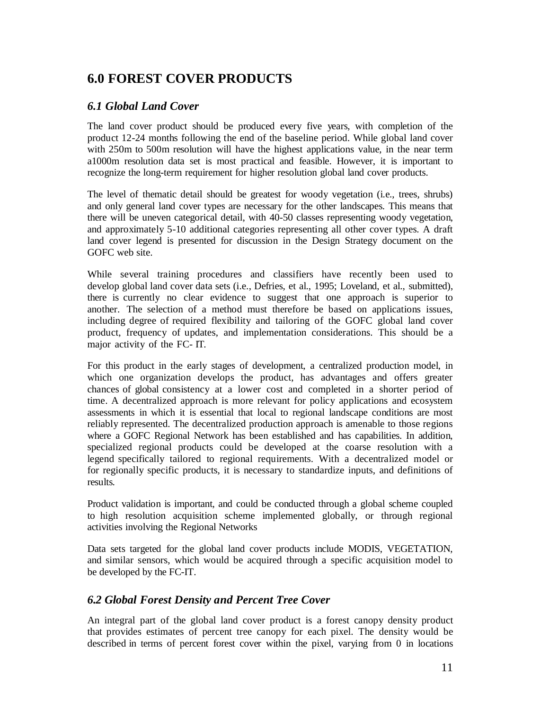## **6.0 FOREST COVER PRODUCTS**

### *6.1 Global Land Cover*

The land cover product should be produced every five years, with completion of the product 12-24 months following the end of the baseline period. While global land cover with 250m to 500m resolution will have the highest applications value, in the near term a1000m resolution data set is most practical and feasible. However, it is important to recognize the long-term requirement for higher resolution global land cover products.

The level of thematic detail should be greatest for woody vegetation (i.e., trees, shrubs) and only general land cover types are necessary for the other landscapes. This means that there will be uneven categorical detail, with 40-50 classes representing woody vegetation, and approximately 5-10 additional categories representing all other cover types. A draft land cover legend is presented for discussion in the Design Strategy document on the GOFC web site.

While several training procedures and classifiers have recently been used to develop global land cover data sets (i.e., Defries, et al., 1995; Loveland, et al., submitted), there is currently no clear evidence to suggest that one approach is superior to another. The selection of a method must therefore be based on applications issues, including degree of required flexibility and tailoring of the GOFC global land cover product, frequency of updates, and implementation considerations. This should be a major activity of the FC- IT.

For this product in the early stages of development, a centralized production model, in which one organization develops the product, has advantages and offers greater chances of global consistency at a lower cost and completed in a shorter period of time. A decentralized approach is more relevant for policy applications and ecosystem assessments in which it is essential that local to regional landscape conditions are most reliably represented. The decentralized production approach is amenable to those regions where a GOFC Regional Network has been established and has capabilities. In addition, specialized regional products could be developed at the coarse resolution with a legend specifically tailored to regional requirements. With a decentralized model or for regionally specific products, it is necessary to standardize inputs, and definitions of results.

Product validation is important, and could be conducted through a global scheme coupled to high resolution acquisition scheme implemented globally, or through regional activities involving the Regional Networks

Data sets targeted for the global land cover products include MODIS, VEGETATION, and similar sensors, which would be acquired through a specific acquisition model to be developed by the FC-IT.

### *6.2 Global Forest Density and Percent Tree Cover*

An integral part of the global land cover product is a forest canopy density product that provides estimates of percent tree canopy for each pixel. The density would be described in terms of percent forest cover within the pixel, varying from 0 in locations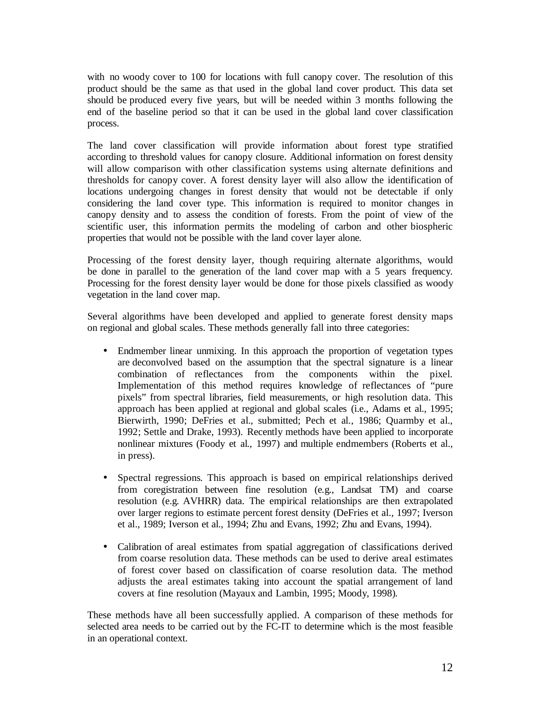with no woody cover to 100 for locations with full canopy cover. The resolution of this product should be the same as that used in the global land cover product. This data set should be produced every five years, but will be needed within 3 months following the end of the baseline period so that it can be used in the global land cover classification process.

The land cover classification will provide information about forest type stratified according to threshold values for canopy closure. Additional information on forest density will allow comparison with other classification systems using alternate definitions and thresholds for canopy cover. A forest density layer will also allow the identification of locations undergoing changes in forest density that would not be detectable if only considering the land cover type. This information is required to monitor changes in canopy density and to assess the condition of forests. From the point of view of the scientific user, this information permits the modeling of carbon and other biospheric properties that would not be possible with the land cover layer alone.

Processing of the forest density layer, though requiring alternate algorithms, would be done in parallel to the generation of the land cover map with a 5 years frequency. Processing for the forest density layer would be done for those pixels classified as woody vegetation in the land cover map.

Several algorithms have been developed and applied to generate forest density maps on regional and global scales. These methods generally fall into three categories:

- Endmember linear unmixing. In this approach the proportion of vegetation types are deconvolved based on the assumption that the spectral signature is a linear combination of reflectances from the components within the pixel. Implementation of this method requires knowledge of reflectances of "pure pixels" from spectral libraries, field measurements, or high resolution data. This approach has been applied at regional and global scales (i.e., Adams et al., 1995; Bierwirth, 1990; DeFries et al., submitted; Pech et al., 1986; Quarmby et al., 1992; Settle and Drake, 1993). Recently methods have been applied to incorporate nonlinear mixtures (Foody et al., 1997) and multiple endmembers (Roberts et al., in press).
- Spectral regressions. This approach is based on empirical relationships derived from coregistration between fine resolution (e.g., Landsat TM) and coarse resolution (e.g. AVHRR) data. The empirical relationships are then extrapolated over larger regions to estimate percent forest density (DeFries et al., 1997; Iverson et al., 1989; Iverson et al., 1994; Zhu and Evans, 1992; Zhu and Evans, 1994).
- Calibration of areal estimates from spatial aggregation of classifications derived from coarse resolution data. These methods can be used to derive areal estimates of forest cover based on classification of coarse resolution data. The method adjusts the areal estimates taking into account the spatial arrangement of land covers at fine resolution (Mayaux and Lambin, 1995; Moody, 1998).

These methods have all been successfully applied. A comparison of these methods for selected area needs to be carried out by the FC-IT to determine which is the most feasible in an operational context.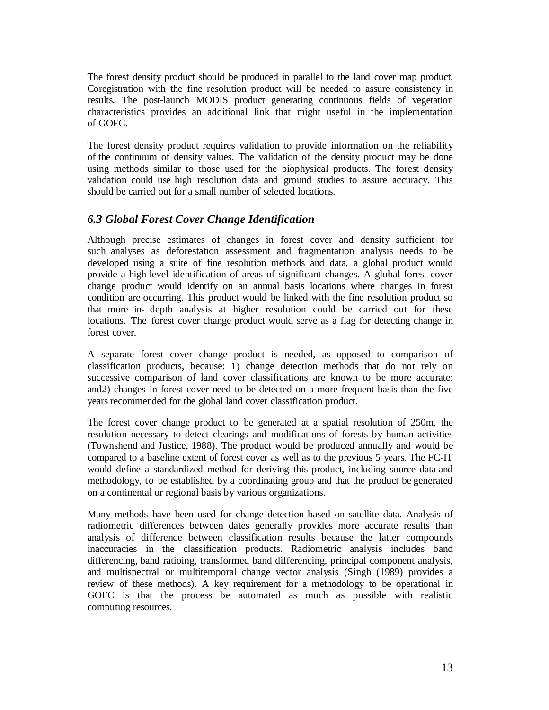The forest density product should be produced in parallel to the land cover map product. Coregistration with the fine resolution product will be needed to assure consistency in results. The post-launch MODIS product generating continuous fields of vegetation characteristics provides an additional link that might useful in the implementation of GOFC.

The forest density product requires validation to provide information on the reliability of the continuum of density values. The validation of the density product may be done using methods similar to those used for the biophysical products. The forest density validation could use high resolution data and ground studies to assure accuracy. This should be carried out for a small number of selected locations.

#### *6.3 Global Forest Cover Change Identification*

Although precise estimates of changes in forest cover and density sufficient for such analyses as deforestation assessment and fragmentation analysis needs to be developed using a suite of fine resolution methods and data, a global product would provide a high level identification of areas of significant changes. A global forest cover change product would identify on an annual basis locations where changes in forest condition are occurring. This product would be linked with the fine resolution product so that more in- depth analysis at higher resolution could be carried out for these locations. The forest cover change product would serve as a flag for detecting change in forest cover.

A separate forest cover change product is needed, as opposed to comparison of classification products, because: 1) change detection methods that do not rely on successive comparison of land cover classifications are known to be more accurate; and2) changes in forest cover need to be detected on a more frequent basis than the five years recommended for the global land cover classification product.

The forest cover change product to be generated at a spatial resolution of 250m, the resolution necessary to detect clearings and modifications of forests by human activities (Townshend and Justice, 1988). The product would be produced annually and would be compared to a baseline extent of forest cover as well as to the previous 5 years. The FC-IT would define a standardized method for deriving this product, including source data and methodology, to be established by a coordinating group and that the product be generated on a continental or regional basis by various organizations.

Many methods have been used for change detection based on satellite data. Analysis of radiometric differences between dates generally provides more accurate results than analysis of difference between classification results because the latter compounds inaccuracies in the classification products. Radiometric analysis includes band differencing, band ratioing, transformed band differencing, principal component analysis, and multispectral or multitemporal change vector analysis (Singh (1989) provides a review of these methods). A key requirement for a methodology to be operational in GOFC is that the process be automated as much as possible with realistic computing resources.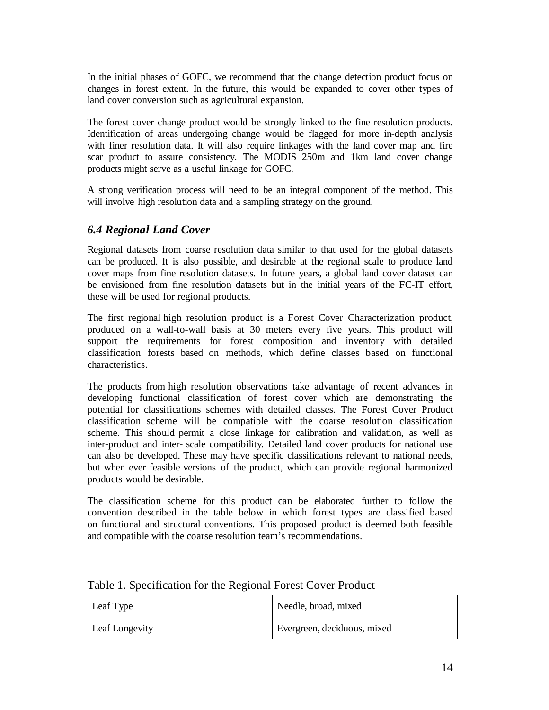In the initial phases of GOFC, we recommend that the change detection product focus on changes in forest extent. In the future, this would be expanded to cover other types of land cover conversion such as agricultural expansion.

The forest cover change product would be strongly linked to the fine resolution products. Identification of areas undergoing change would be flagged for more in-depth analysis with finer resolution data. It will also require linkages with the land cover map and fire scar product to assure consistency. The MODIS 250m and 1km land cover change products might serve as a useful linkage for GOFC.

A strong verification process will need to be an integral component of the method. This will involve high resolution data and a sampling strategy on the ground.

#### *6.4 Regional Land Cover*

Regional datasets from coarse resolution data similar to that used for the global datasets can be produced. It is also possible, and desirable at the regional scale to produce land cover maps from fine resolution datasets. In future years, a global land cover dataset can be envisioned from fine resolution datasets but in the initial years of the FC-IT effort, these will be used for regional products.

The first regional high resolution product is a Forest Cover Characterization product, produced on a wall-to-wall basis at 30 meters every five years. This product will support the requirements for forest composition and inventory with detailed classification forests based on methods, which define classes based on functional characteristics.

The products from high resolution observations take advantage of recent advances in developing functional classification of forest cover which are demonstrating the potential for classifications schemes with detailed classes. The Forest Cover Product classification scheme will be compatible with the coarse resolution classification scheme. This should permit a close linkage for calibration and validation, as well as inter-product and inter- scale compatibility. Detailed land cover products for national use can also be developed. These may have specific classifications relevant to national needs, but when ever feasible versions of the product, which can provide regional harmonized products would be desirable.

The classification scheme for this product can be elaborated further to follow the convention described in the table below in which forest types are classified based on functional and structural conventions. This proposed product is deemed both feasible and compatible with the coarse resolution team's recommendations.

| Leaf Type             | Needle, broad, mixed        |
|-----------------------|-----------------------------|
| <b>Leaf Longevity</b> | Evergreen, deciduous, mixed |

#### Table 1. Specification for the Regional Forest Cover Product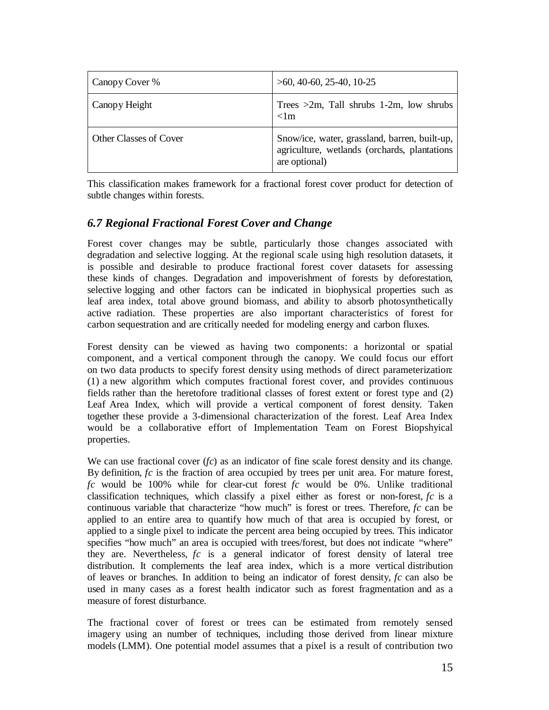| Canopy Cover %         | $>60, 40-60, 25-40, 10-25$                                                                                     |
|------------------------|----------------------------------------------------------------------------------------------------------------|
| Canopy Height          | Trees $>2m$ , Tall shrubs 1-2m, low shrubs<br>$<$ lm                                                           |
| Other Classes of Cover | Snow/ice, water, grassland, barren, built-up,<br>agriculture, wetlands (orchards, plantations<br>are optional) |

This classification makes framework for a fractional forest cover product for detection of subtle changes within forests.

### *6.7 Regional Fractional Forest Cover and Change*

Forest cover changes may be subtle, particularly those changes associated with degradation and selective logging. At the regional scale using high resolution datasets, it is possible and desirable to produce fractional forest cover datasets for assessing these kinds of changes. Degradation and impoverishment of forests by deforestation, selective logging and other factors can be indicated in biophysical properties such as leaf area index, total above ground biomass, and ability to absorb photosynthetically active radiation. These properties are also important characteristics of forest for carbon sequestration and are critically needed for modeling energy and carbon fluxes.

Forest density can be viewed as having two components: a horizontal or spatial component, and a vertical component through the canopy. We could focus our effort on two data products to specify forest density using methods of direct parameterization: (1) a new algorithm which computes fractional forest cover, and provides continuous fields rather than the heretofore traditional classes of forest extent or forest type and (2) Leaf Area Index, which will provide a vertical component of forest density. Taken together these provide a 3-dimensional characterization of the forest. Leaf Area Index would be a collaborative effort of Implementation Team on Forest Biopshyical properties.

We can use fractional cover (*fc*) as an indicator of fine scale forest density and its change. By definition, *fc* is the fraction of area occupied by trees per unit area. For mature forest, *fc* would be 100% while for clear-cut forest *fc* would be 0%. Unlike traditional classification techniques, which classify a pixel either as forest or non-forest, *fc* is a continuous variable that characterize "how much" is forest or trees. Therefore, *fc* can be applied to an entire area to quantify how much of that area is occupied by forest, or applied to a single pixel to indicate the percent area being occupied by trees. This indicator specifies "how much" an area is occupied with trees/forest, but does not indicate "where" they are. Nevertheless, *fc* is a general indicator of forest density of lateral tree distribution. It complements the leaf area index, which is a more vertical distribution of leaves or branches. In addition to being an indicator of forest density, *fc* can also be used in many cases as a forest health indicator such as forest fragmentation and as a measure of forest disturbance.

The fractional cover of forest or trees can be estimated from remotely sensed imagery using an number of techniques, including those derived from linear mixture models (LMM). One potential model assumes that a pixel is a result of contribution two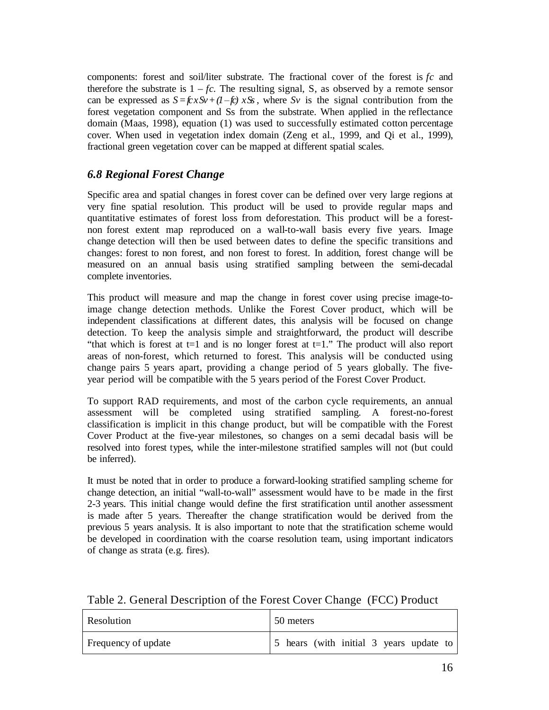components: forest and soil/liter substrate. The fractional cover of the forest is *fc* and therefore the substrate is  $1 - fc$ . The resulting signal, S, as observed by a remote sensor can be expressed as  $S = f(x)S_y + (1 - f_c) xS_y$ , where  $S_y$  is the signal contribution from the forest vegetation component and Ss from the substrate. When applied in the reflectance domain (Maas, 1998), equation (1) was used to successfully estimated cotton percentage cover. When used in vegetation index domain (Zeng et al., 1999, and Qi et al., 1999), fractional green vegetation cover can be mapped at different spatial scales.

### *6.8 Regional Forest Change*

Specific area and spatial changes in forest cover can be defined over very large regions at very fine spatial resolution. This product will be used to provide regular maps and quantitative estimates of forest loss from deforestation. This product will be a forestnon forest extent map reproduced on a wall-to-wall basis every five years. Image change detection will then be used between dates to define the specific transitions and changes: forest to non forest, and non forest to forest. In addition, forest change will be measured on an annual basis using stratified sampling between the semi-decadal complete inventories.

This product will measure and map the change in forest cover using precise image-toimage change detection methods. Unlike the Forest Cover product, which will be independent classifications at different dates, this analysis will be focused on change detection. To keep the analysis simple and straightforward, the product will describe "that which is forest at  $t=1$  and is no longer forest at  $t=1$ ." The product will also report areas of non-forest, which returned to forest. This analysis will be conducted using change pairs 5 years apart, providing a change period of 5 years globally. The fiveyear period will be compatible with the 5 years period of the Forest Cover Product.

To support RAD requirements, and most of the carbon cycle requirements, an annual assessment will be completed using stratified sampling. A forest-no-forest classification is implicit in this change product, but will be compatible with the Forest Cover Product at the five-year milestones, so changes on a semi decadal basis will be resolved into forest types, while the inter-milestone stratified samples will not (but could be inferred).

It must be noted that in order to produce a forward-looking stratified sampling scheme for change detection, an initial "wall-to-wall" assessment would have to be made in the first 2-3 years. This initial change would define the first stratification until another assessment is made after 5 years. Thereafter the change stratification would be derived from the previous 5 years analysis. It is also important to note that the stratification scheme would be developed in coordination with the coarse resolution team, using important indicators of change as strata (e.g. fires).

| Resolution          | 50 meters                               |
|---------------------|-----------------------------------------|
| Frequency of update | 5 hears (with initial 3 years update to |

Table 2. General Description of the Forest Cover Change (FCC) Product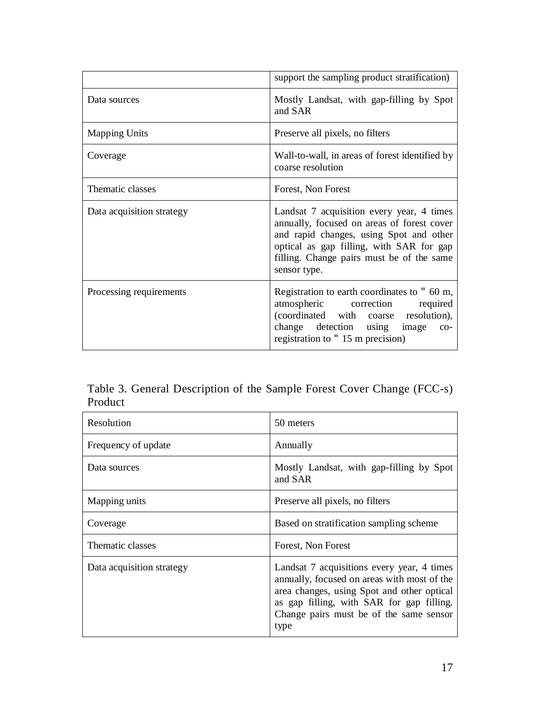|                           | support the sampling product stratification)                                                                                                                                                                                                |
|---------------------------|---------------------------------------------------------------------------------------------------------------------------------------------------------------------------------------------------------------------------------------------|
| Data sources              | Mostly Landsat, with gap-filling by Spot<br>and SAR                                                                                                                                                                                         |
| <b>Mapping Units</b>      | Preserve all pixels, no filters                                                                                                                                                                                                             |
| Coverage                  | Wall-to-wall, in areas of forest identified by<br>coarse resolution                                                                                                                                                                         |
| Thematic classes          | Forest, Non Forest                                                                                                                                                                                                                          |
| Data acquisition strategy | Landsat 7 acquisition every year, 4 times<br>annually, focused on areas of forest cover<br>and rapid changes, using Spot and other<br>optical as gap filling, with SAR for gap<br>filling. Change pairs must be of the same<br>sensor type. |
| Processing requirements   | Registration to earth coordinates to 3 60 m,<br>atmospheric correction<br>required<br>(coordinated with coarse resolution),<br>change detection using image co-<br>registration to 3.15 m precision)                                        |

Table 3. General Description of the Sample Forest Cover Change (FCC-s) Product

| Resolution                | 50 meters                                                                                                                                                                                                                               |
|---------------------------|-----------------------------------------------------------------------------------------------------------------------------------------------------------------------------------------------------------------------------------------|
| Frequency of update       | Annually                                                                                                                                                                                                                                |
| Data sources              | Mostly Landsat, with gap-filling by Spot<br>and SAR                                                                                                                                                                                     |
| Mapping units             | Preserve all pixels, no filters                                                                                                                                                                                                         |
| Coverage                  | Based on stratification sampling scheme                                                                                                                                                                                                 |
| Thematic classes          | Forest, Non Forest                                                                                                                                                                                                                      |
| Data acquisition strategy | Landsat 7 acquisitions every year, 4 times<br>annually, focused on areas with most of the<br>area changes, using Spot and other optical<br>as gap filling, with SAR for gap filling.<br>Change pairs must be of the same sensor<br>type |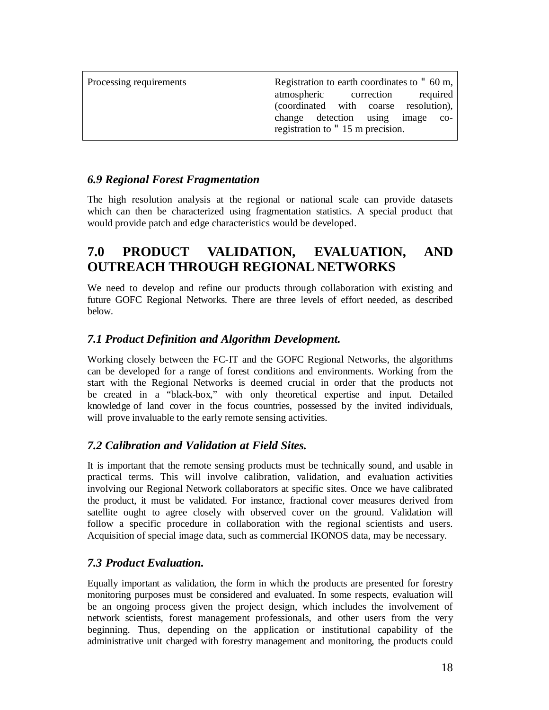| Processing requirements | Registration to earth coordinates to 3 60 m, |
|-------------------------|----------------------------------------------|
|                         | atmospheric correction<br>required           |
|                         | (coordinated with coarse resolution),        |
|                         | change detection using<br>image<br>$CO-$     |
|                         | registration to 3 15 m precision.            |

### *6.9 Regional Forest Fragmentation*

The high resolution analysis at the regional or national scale can provide datasets which can then be characterized using fragmentation statistics. A special product that would provide patch and edge characteristics would be developed.

## **7.0 PRODUCT VALIDATION, EVALUATION, AND OUTREACH THROUGH REGIONAL NETWORKS**

We need to develop and refine our products through collaboration with existing and future GOFC Regional Networks. There are three levels of effort needed, as described below.

### *7.1 Product Definition and Algorithm Development.*

Working closely between the FC-IT and the GOFC Regional Networks, the algorithms can be developed for a range of forest conditions and environments. Working from the start with the Regional Networks is deemed crucial in order that the products not be created in a "black-box," with only theoretical expertise and input. Detailed knowledge of land cover in the focus countries, possessed by the invited individuals, will prove invaluable to the early remote sensing activities.

### *7.2 Calibration and Validation at Field Sites.*

It is important that the remote sensing products must be technically sound, and usable in practical terms. This will involve calibration, validation, and evaluation activities involving our Regional Network collaborators at specific sites. Once we have calibrated the product, it must be validated. For instance, fractional cover measures derived from satellite ought to agree closely with observed cover on the ground. Validation will follow a specific procedure in collaboration with the regional scientists and users. Acquisition of special image data, such as commercial IKONOS data, may be necessary.

#### *7.3 Product Evaluation.*

Equally important as validation, the form in which the products are presented for forestry monitoring purposes must be considered and evaluated. In some respects, evaluation will be an ongoing process given the project design, which includes the involvement of network scientists, forest management professionals, and other users from the very beginning. Thus, depending on the application or institutional capability of the administrative unit charged with forestry management and monitoring, the products could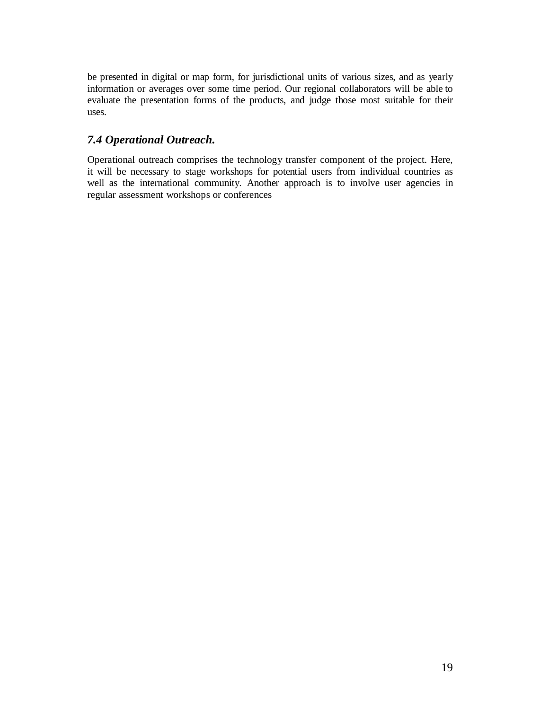be presented in digital or map form, for jurisdictional units of various sizes, and as yearly information or averages over some time period. Our regional collaborators will be able to evaluate the presentation forms of the products, and judge those most suitable for their uses.

### *7.4 Operational Outreach.*

Operational outreach comprises the technology transfer component of the project. Here, it will be necessary to stage workshops for potential users from individual countries as well as the international community. Another approach is to involve user agencies in regular assessment workshops or conferences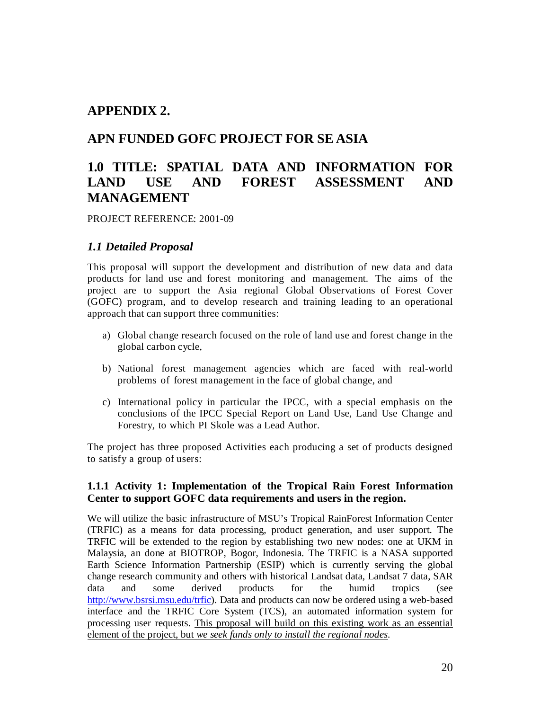### **APPENDIX 2.**

### **APN FUNDED GOFC PROJECT FOR SE ASIA**

## **1.0 TITLE: SPATIAL DATA AND INFORMATION FOR LAND USE AND FOREST ASSESSMENT AND MANAGEMENT**

PROJECT REFERENCE: 2001-09

### *1.1 Detailed Proposal*

This proposal will support the development and distribution of new data and data products for land use and forest monitoring and management. The aims of the project are to support the Asia regional Global Observations of Forest Cover (GOFC) program, and to develop research and training leading to an operational approach that can support three communities:

- a) Global change research focused on the role of land use and forest change in the global carbon cycle,
- b) National forest management agencies which are faced with real-world problems of forest management in the face of global change, and
- c) International policy in particular the IPCC, with a special emphasis on the conclusions of the IPCC Special Report on Land Use, Land Use Change and Forestry, to which PI Skole was a Lead Author.

The project has three proposed Activities each producing a set of products designed to satisfy a group of users:

#### **1.1.1 Activity 1: Implementation of the Tropical Rain Forest Information Center to support GOFC data requirements and users in the region.**

We will utilize the basic infrastructure of MSU's Tropical RainForest Information Center (TRFIC) as a means for data processing, product generation, and user support. The TRFIC will be extended to the region by establishing two new nodes: one at UKM in Malaysia, an done at BIOTROP, Bogor, Indonesia. The TRFIC is a NASA supported Earth Science Information Partnership (ESIP) which is currently serving the global change research community and others with historical Landsat data, Landsat 7 data, SAR data and some derived products for the humid tropics (see [http://www.bsrsi.msu.edu/trfic\)](http://www.bsrsi.msu.edu/trfic). Data and products can now be ordered using a web-based interface and the TRFIC Core System (TCS), an automated information system for processing user requests. This proposal will build on this existing work as an essential element of the project, but *we seek funds only to install the regional nodes.*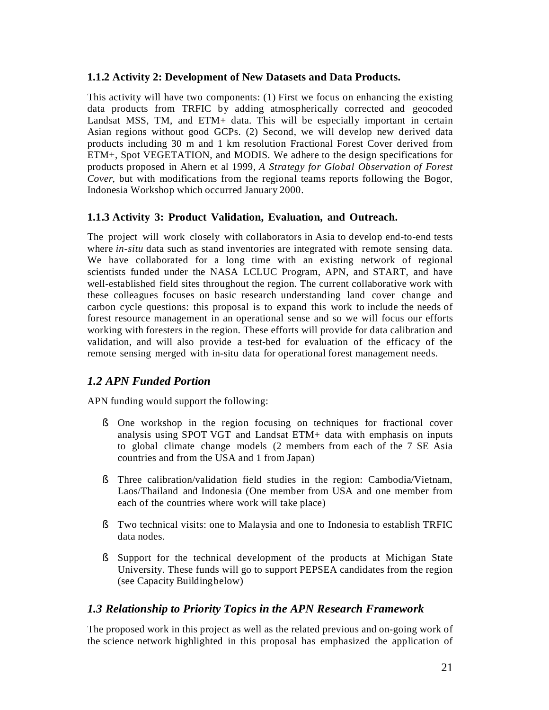#### **1.1.2 Activity 2: Development of New Datasets and Data Products.**

This activity will have two components: (1) First we focus on enhancing the existing data products from TRFIC by adding atmospherically corrected and geocoded Landsat MSS, TM, and ETM+ data. This will be especially important in certain Asian regions without good GCPs. (2) Second, we will develop new derived data products including 30 m and 1 km resolution Fractional Forest Cover derived from ETM+, Spot VEGETATION, and MODIS. We adhere to the design specifications for products proposed in Ahern et al 1999, *A Strategy for Global Observation of Forest Cover*, but with modifications from the regional teams reports following the Bogor, Indonesia Workshop which occurred January 2000.

#### **1.1.3 Activity 3: Product Validation, Evaluation, and Outreach.**

The project will work closely with collaborators in Asia to develop end-to-end tests where *in-situ* data such as stand inventories are integrated with remote sensing data. We have collaborated for a long time with an existing network of regional scientists funded under the NASA LCLUC Program, APN, and START, and have well-established field sites throughout the region. The current collaborative work with these colleagues focuses on basic research understanding land cover change and carbon cycle questions: this proposal is to expand this work to include the needs of forest resource management in an operational sense and so we will focus our efforts working with foresters in the region. These efforts will provide for data calibration and validation, and will also provide a test-bed for evaluation of the efficacy of the remote sensing merged with in-situ data for operational forest management needs.

### *1.2 APN Funded Portion*

APN funding would support the following:

- § One workshop in the region focusing on techniques for fractional cover analysis using SPOT VGT and Landsat ETM+ data with emphasis on inputs to global climate change models (2 members from each of the 7 SE Asia countries and from the USA and 1 from Japan)
- § Three calibration/validation field studies in the region: Cambodia/Vietnam, Laos/Thailand and Indonesia (One member from USA and one member from each of the countries where work will take place)
- § Two technical visits: one to Malaysia and one to Indonesia to establish TRFIC data nodes.
- § Support for the technical development of the products at Michigan State University. These funds will go to support PEPSEA candidates from the region (see Capacity Buildingbelow)

#### *1.3 Relationship to Priority Topics in the APN Research Framework*

The proposed work in this project as well as the related previous and on-going work of the science network highlighted in this proposal has emphasized the application of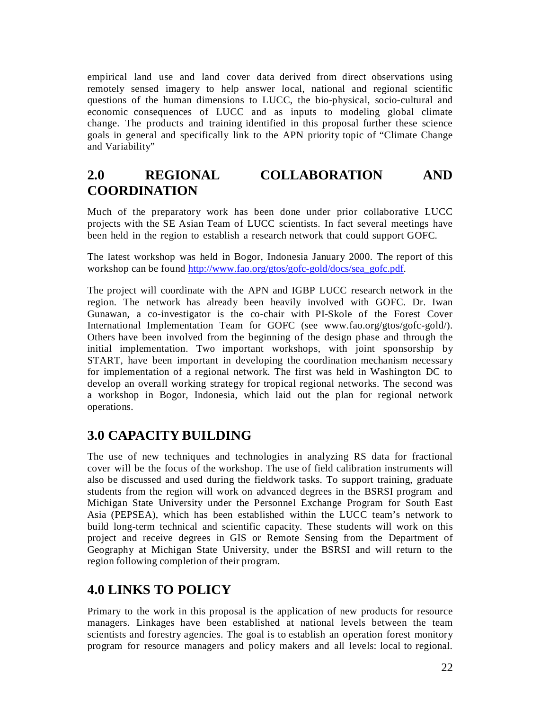empirical land use and land cover data derived from direct observations using remotely sensed imagery to help answer local, national and regional scientific questions of the human dimensions to LUCC, the bio-physical, socio-cultural and economic consequences of LUCC and as inputs to modeling global climate change. The products and training identified in this proposal further these science goals in general and specifically link to the APN priority topic of "Climate Change and Variability"

## **2.0 REGIONAL COLLABORATION AND COORDINATION**

Much of the preparatory work has been done under prior collaborative LUCC projects with the SE Asian Team of LUCC scientists. In fact several meetings have been held in the region to establish a research network that could support GOFC.

The latest workshop was held in Bogor, Indonesia January 2000. The report of this workshop can be found [http://www.fao.org/gtos/gofc-gold/docs/sea\\_gofc.pdf.](http://www.fao.org/gtos/gofc-gold/docs/sea_gofc.pdf)

The project will coordinate with the APN and IGBP LUCC research network in the region. The network has already been heavily involved with GOFC. Dr. Iwan Gunawan, a co-investigator is the co-chair with PI-Skole of the Forest Cover International Implementation Team for GOFC (see [www.fao.org/gtos/gofc-gold/\).](http://www.fao.org/gtos/gofc-gold/).) Others have been involved from the beginning of the design phase and through the initial implementation. Two important workshops, with joint sponsorship by START, have been important in developing the coordination mechanism necessary for implementation of a regional network. The first was held in Washington DC to develop an overall working strategy for tropical regional networks. The second was a workshop in Bogor, Indonesia, which laid out the plan for regional network operations.

### **3.0 CAPACITY BUILDING**

The use of new techniques and technologies in analyzing RS data for fractional cover will be the focus of the workshop. The use of field calibration instruments will also be discussed and used during the fieldwork tasks. To support training, graduate students from the region will work on advanced degrees in the BSRSI program and Michigan State University under the Personnel Exchange Program for South East Asia (PEPSEA), which has been established within the LUCC team's network to build long-term technical and scientific capacity. These students will work on this project and receive degrees in GIS or Remote Sensing from the Department of Geography at Michigan State University, under the BSRSI and will return to the region following completion of their program.

### **4.0 LINKS TO POLICY**

Primary to the work in this proposal is the application of new products for resource managers. Linkages have been established at national levels between the team scientists and forestry agencies. The goal is to establish an operation forest monitory program for resource managers and policy makers and all levels: local to regional.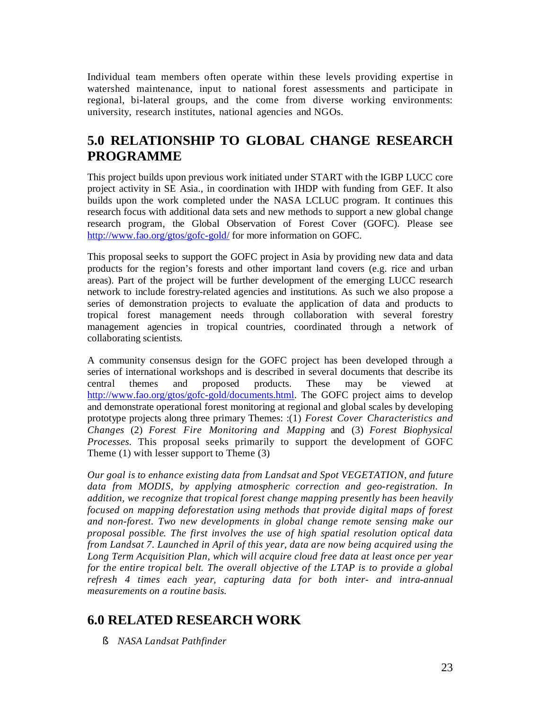Individual team members often operate within these levels providing expertise in watershed maintenance, input to national forest assessments and participate in regional, bi-lateral groups, and the come from diverse working environments: university, research institutes, national agencies and NGOs.

## **5.0 RELATIONSHIP TO GLOBAL CHANGE RESEARCH PROGRAMME**

This project builds upon previous work initiated under START with the IGBP LUCC core project activity in SE Asia., in coordination with IHDP with funding from GEF. It also builds upon the work completed under the NASA LCLUC program. It continues this research focus with additional data sets and new methods to support a new global change research program, the Global Observation of Forest Cover (GOFC). Please see <http://www.fao.org/gtos/gofc-gold/> for more information on GOFC.

This proposal seeks to support the GOFC project in Asia by providing new data and data products for the region's forests and other important land covers (e.g. rice and urban areas). Part of the project will be further development of the emerging LUCC research network to include forestry-related agencies and institutions. As such we also propose a series of demonstration projects to evaluate the application of data and products to tropical forest management needs through collaboration with several forestry management agencies in tropical countries, coordinated through a network of collaborating scientists.

A community consensus design for the GOFC project has been developed through a series of international workshops and is described in several documents that describe its central themes and proposed products. These may be viewed at [http://www.fao.org/gtos/gofc-gold/documents.html.](http://www.fao.org/gtos/gofc-gold/documents.html) The GOFC project aims to develop and demonstrate operational forest monitoring at regional and global scales by developing prototype projects along three primary Themes: :(1) *Forest Cover Characteristics and Changes* (2) *Forest Fire Monitoring and Mapping* and (3) *Forest Biophysical Processes*. This proposal seeks primarily to support the development of GOFC Theme (1) with lesser support to Theme (3)

*Our goal is to enhance existing data from Landsat and Spot VEGETATION, and future data from MODIS, by applying atmospheric correction and geo-registration. In addition, we recognize that tropical forest change mapping presently has been heavily focused on mapping deforestation using methods that provide digital maps of forest and non-forest. Two new developments in global change remote sensing make our proposal possible. The first involves the use of high spatial resolution optical data from Landsat 7. Launched in April of this year, data are now being acquired using the Long Term Acquisition Plan, which will acquire cloud free data at least once per year for the entire tropical belt. The overall objective of the LTAP is to provide a global refresh 4 times each year, capturing data for both inter- and intra-annual measurements on a routine basis.*

## **6.0 RELATED RESEARCH WORK**

§ *NASA Landsat Pathfinder*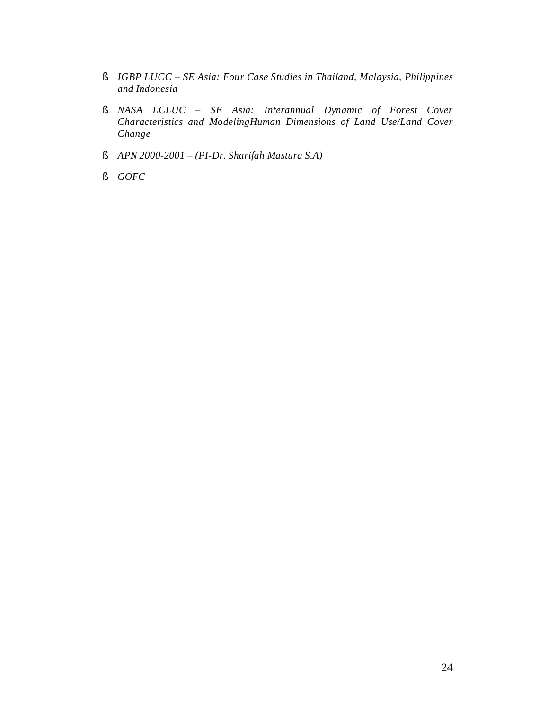- § *IGBP LUCC SE Asia: Four Case Studies in Thailand, Malaysia, Philippines and Indonesia*
- § *NASA LCLUC ± SE Asia: Interannual Dynamic of Forest Cover Characteristics and ModelingHuman Dimensions of Land Use/Land Cover Change*
- § *APN 2000-2001 ± (PI-Dr. Sharifah Mastura S.A)*
- § *GOFC*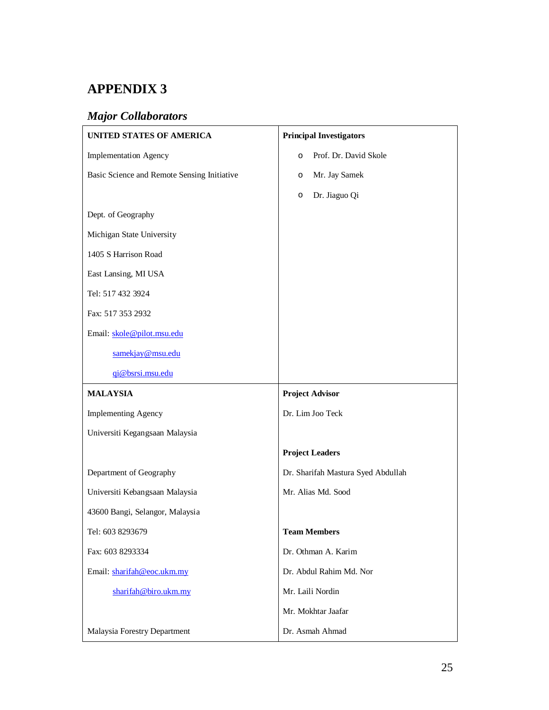# **APPENDIX 3**

## *Major Collaborators*

| <b>UNITED STATES OF AMERICA</b>             | <b>Principal Investigators</b>     |
|---------------------------------------------|------------------------------------|
| <b>Implementation Agency</b>                | Prof. Dr. David Skole<br>O         |
| Basic Science and Remote Sensing Initiative | Mr. Jay Samek<br>O                 |
|                                             | Dr. Jiaguo Qi<br>O                 |
| Dept. of Geography                          |                                    |
| Michigan State University                   |                                    |
| 1405 S Harrison Road                        |                                    |
| East Lansing, MI USA                        |                                    |
| Tel: 517 432 3924                           |                                    |
| Fax: 517 353 2932                           |                                    |
| Email: skole@pilot.msu.edu                  |                                    |
| samekjay@msu.edu                            |                                    |
| qi@bsrsi.msu.edu                            |                                    |
|                                             |                                    |
| <b>MALAYSIA</b>                             | <b>Project Advisor</b>             |
| <b>Implementing Agency</b>                  | Dr. Lim Joo Teck                   |
| Universiti Kegangsaan Malaysia              |                                    |
|                                             | <b>Project Leaders</b>             |
| Department of Geography                     | Dr. Sharifah Mastura Syed Abdullah |
| Universiti Kebangsaan Malaysia              | Mr. Alias Md. Sood                 |
| 43600 Bangi, Selangor, Malaysia             |                                    |
| Tel: 603 8293679                            | <b>Team Members</b>                |
| Fax: 603 8293334                            | Dr. Othman A. Karim                |
| Email: sharifah@eoc.ukm.my                  | Dr. Abdul Rahim Md. Nor            |
| sharifah@biro.ukm.my                        | Mr. Laili Nordin                   |
|                                             | Mr. Mokhtar Jaafar                 |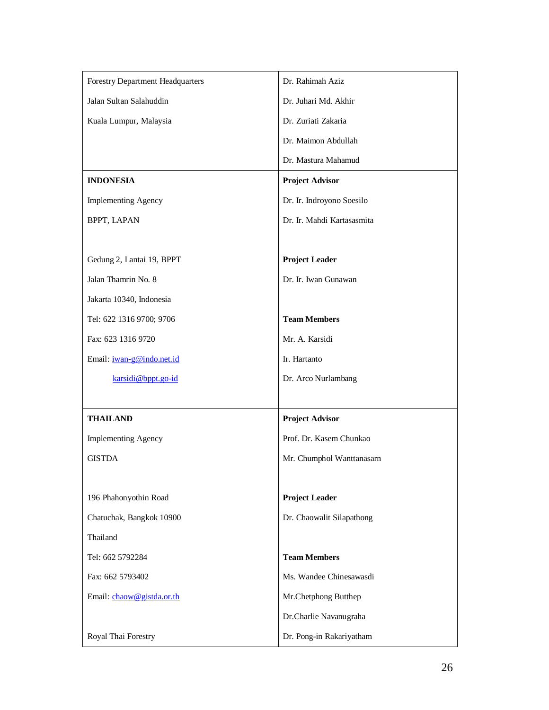| <b>Forestry Department Headquarters</b> | Dr. Rahimah Aziz           |
|-----------------------------------------|----------------------------|
| Jalan Sultan Salahuddin                 | Dr. Juhari Md. Akhir       |
| Kuala Lumpur, Malaysia                  | Dr. Zuriati Zakaria        |
|                                         | Dr. Maimon Abdullah        |
|                                         | Dr. Mastura Mahamud        |
| <b>INDONESIA</b>                        | <b>Project Advisor</b>     |
| <b>Implementing Agency</b>              | Dr. Ir. Indroyono Soesilo  |
| BPPT, LAPAN                             | Dr. Ir. Mahdi Kartasasmita |
|                                         |                            |
| Gedung 2, Lantai 19, BPPT               | <b>Project Leader</b>      |
| Jalan Thamrin No. 8                     | Dr. Ir. Iwan Gunawan       |
| Jakarta 10340, Indonesia                |                            |
| Tel: 622 1316 9700; 9706                | <b>Team Members</b>        |
| Fax: 623 1316 9720                      | Mr. A. Karsidi             |
| Email: <i>iwan-g@indo.net.id</i>        | Ir. Hartanto               |
| karsidi@bppt.go-id                      | Dr. Arco Nurlambang        |
|                                         |                            |
| <b>THAILAND</b>                         | <b>Project Advisor</b>     |
| <b>Implementing Agency</b>              | Prof. Dr. Kasem Chunkao    |
| <b>GISTDA</b>                           | Mr. Chumphol Wanttanasarn  |
|                                         |                            |
| 196 Phahonyothin Road                   | <b>Project Leader</b>      |
| Chatuchak, Bangkok 10900                | Dr. Chaowalit Silapathong  |
| Thailand                                |                            |
| Tel: 662 5792284                        | <b>Team Members</b>        |
| Fax: 662 5793402                        | Ms. Wandee Chinesawasdi    |
| Email: chaow@gistda.or.th               | Mr.Chetphong Butthep       |
|                                         | Dr.Charlie Navanugraha     |
| Royal Thai Forestry                     | Dr. Pong-in Rakariyatham   |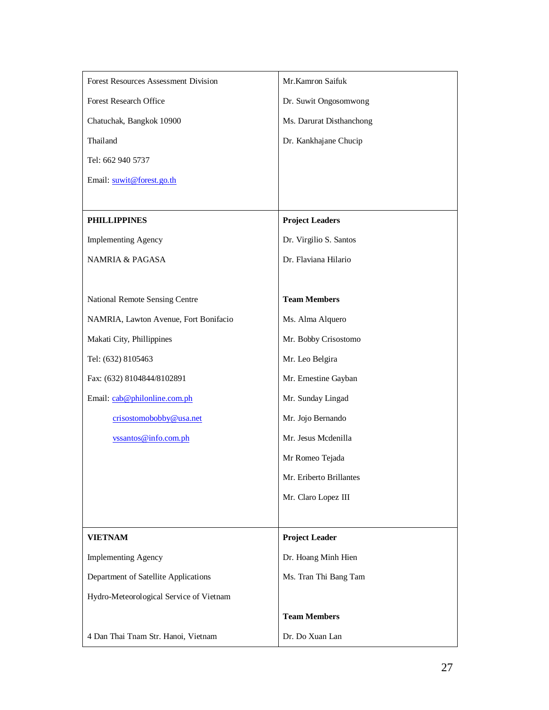| Forest Resources Assessment Division    | Mr.Kamron Saifuk         |
|-----------------------------------------|--------------------------|
| Forest Research Office                  | Dr. Suwit Ongosomwong    |
| Chatuchak, Bangkok 10900                | Ms. Darurat Disthanchong |
| Thailand                                | Dr. Kankhajane Chucip    |
| Tel: 662 940 5737                       |                          |
| Email: suwit@forest.go.th               |                          |
|                                         |                          |
| <b>PHILLIPPINES</b>                     | <b>Project Leaders</b>   |
| <b>Implementing Agency</b>              | Dr. Virgilio S. Santos   |
| <b>NAMRIA &amp; PAGASA</b>              | Dr. Flaviana Hilario     |
|                                         |                          |
| National Remote Sensing Centre          | <b>Team Members</b>      |
| NAMRIA, Lawton Avenue, Fort Bonifacio   | Ms. Alma Alquero         |
| Makati City, Phillippines               | Mr. Bobby Crisostomo     |
| Tel: (632) 8105463                      | Mr. Leo Belgira          |
| Fax: (632) 8104844/8102891              | Mr. Ernestine Gayban     |
| Email: cab@philonline.com.ph            | Mr. Sunday Lingad        |
| crisostomobobby@usa.net                 | Mr. Jojo Bernando        |
| vssantos@info.com.ph                    | Mr. Jesus Mcdenilla      |
|                                         | Mr Romeo Tejada          |
|                                         | Mr. Eriberto Brillantes  |
|                                         | Mr. Claro Lopez III      |
|                                         |                          |
| <b>VIETNAM</b>                          | <b>Project Leader</b>    |
| <b>Implementing Agency</b>              | Dr. Hoang Minh Hien      |
| Department of Satellite Applications    | Ms. Tran Thi Bang Tam    |
| Hydro-Meteorological Service of Vietnam |                          |
|                                         | <b>Team Members</b>      |
| 4 Dan Thai Tnam Str. Hanoi, Vietnam     | Dr. Do Xuan Lan          |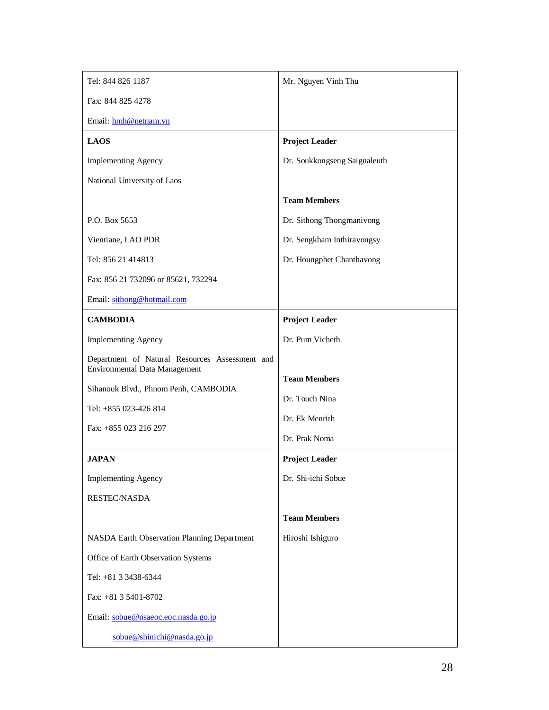| Tel: 844 826 1187                              | Mr. Nguyen Vinh Thu          |  |  |  |  |  |
|------------------------------------------------|------------------------------|--|--|--|--|--|
| Fax: 844 825 4278                              |                              |  |  |  |  |  |
| Email: hmh@netnam.vn                           |                              |  |  |  |  |  |
| <b>LAOS</b>                                    | <b>Project Leader</b>        |  |  |  |  |  |
| <b>Implementing Agency</b>                     | Dr. Soukkongseng Saignaleuth |  |  |  |  |  |
| National University of Laos                    |                              |  |  |  |  |  |
|                                                | <b>Team Members</b>          |  |  |  |  |  |
| P.O. Box 5653                                  | Dr. Sithong Thongmanivong    |  |  |  |  |  |
| Vientiane, LAO PDR                             | Dr. Sengkham Inthiravongsy   |  |  |  |  |  |
| Tel: 856 21 414813                             | Dr. Houngphet Chanthavong    |  |  |  |  |  |
| Fax: 856 21 732096 or 85621, 732294            |                              |  |  |  |  |  |
| Email: sithong@hotmail.com                     |                              |  |  |  |  |  |
| <b>CAMBODIA</b>                                | <b>Project Leader</b>        |  |  |  |  |  |
| <b>Implementing Agency</b>                     | Dr. Pum Vicheth              |  |  |  |  |  |
| Department of Natural Resources Assessment and |                              |  |  |  |  |  |
| <b>Environmental Data Management</b>           | <b>Team Members</b>          |  |  |  |  |  |
| Sihanouk Blvd., Phnom Penh, CAMBODIA           | Dr. Touch Nina               |  |  |  |  |  |
| Tel: +855 023-426 814                          | Dr. Ek Menrith               |  |  |  |  |  |
| Fax: +855 023 216 297                          | Dr. Prak Noma                |  |  |  |  |  |
| <b>JAPAN</b>                                   | <b>Project Leader</b>        |  |  |  |  |  |
| <b>Implementing Agency</b>                     | Dr. Shi-ichi Sobue           |  |  |  |  |  |
| RESTEC/NASDA                                   |                              |  |  |  |  |  |
|                                                | <b>Team Members</b>          |  |  |  |  |  |
| NASDA Earth Observation Planning Department    | Hiroshi Ishiguro             |  |  |  |  |  |
| Office of Earth Observation Systems            |                              |  |  |  |  |  |
| Tel: +81 3 3438-6344                           |                              |  |  |  |  |  |
| Fax: +81 3 5401-8702                           |                              |  |  |  |  |  |
| Email: sobue@nsaeoc.eoc.nasda.go.jp            |                              |  |  |  |  |  |
| sobue@shinichi@nasda.go.jp                     |                              |  |  |  |  |  |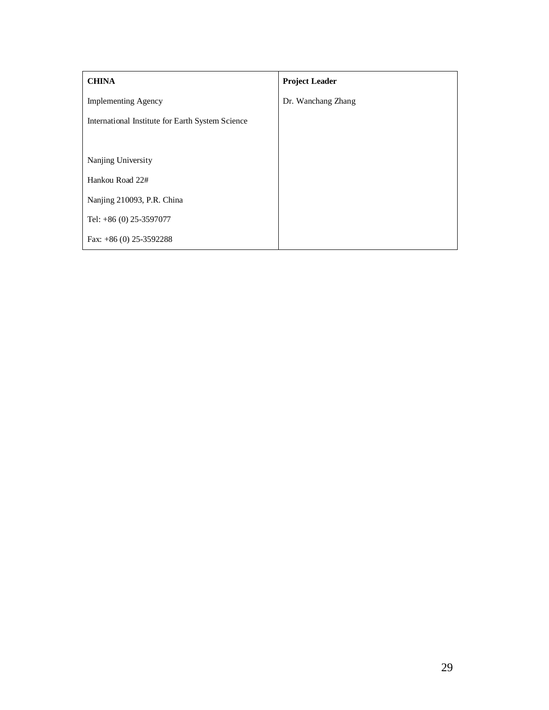| <b>CHINA</b>                                     | <b>Project Leader</b> |
|--------------------------------------------------|-----------------------|
| <b>Implementing Agency</b>                       | Dr. Wanchang Zhang    |
| International Institute for Earth System Science |                       |
|                                                  |                       |
| Nanjing University                               |                       |
| Hankou Road 22#                                  |                       |
| Nanjing 210093, P.R. China                       |                       |
| Tel: $+86$ (0) 25-3597077                        |                       |
| Fax: $+86(0)$ 25-3592288                         |                       |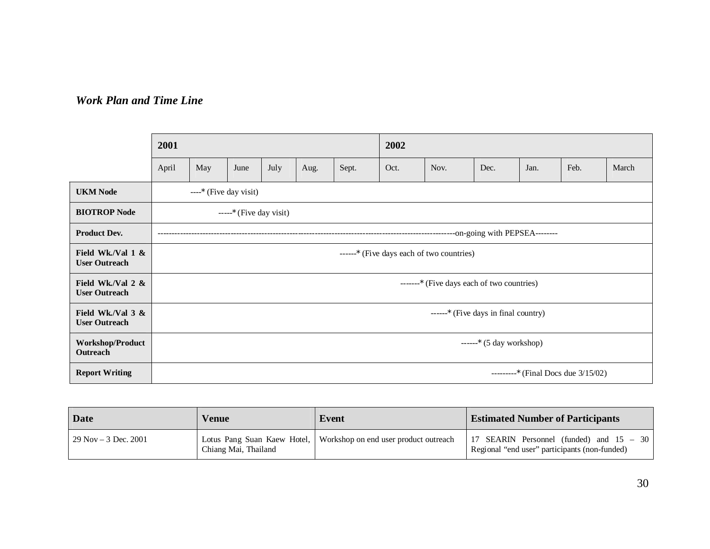## *Work Plan and Time Line*

|                                              | 2001                                   |                                            |      |      |      |       | 2002 |      |      |      |      |       |
|----------------------------------------------|----------------------------------------|--------------------------------------------|------|------|------|-------|------|------|------|------|------|-------|
|                                              | April                                  | May                                        | June | July | Aug. | Sept. | Oct. | Nov. | Dec. | Jan. | Feb. | March |
| <b>UKM Node</b>                              |                                        | ----; (Five day visit)                     |      |      |      |       |      |      |      |      |      |       |
| <b>BIOTROP Node</b>                          |                                        | $---;$ (Five day visit)                    |      |      |      |       |      |      |      |      |      |       |
| <b>Product Dev.</b>                          |                                        |                                            |      |      |      |       |      |      |      |      |      |       |
| Field Wk./Val $1 \&$<br><b>User Outreach</b> |                                        | ------; (Five days each of two countries)  |      |      |      |       |      |      |      |      |      |       |
| Field Wk./Val 2 &<br><b>User Outreach</b>    |                                        | -------; (Five days each of two countries) |      |      |      |       |      |      |      |      |      |       |
| Field Wk./Val $3 &$<br><b>User Outreach</b>  |                                        | ------; (Five days in final country)       |      |      |      |       |      |      |      |      |      |       |
| <b>Workshop/Product</b><br>Outreach          | $---$ ; (5 day workshop)               |                                            |      |      |      |       |      |      |      |      |      |       |
| <b>Report Writing</b>                        | ---------; (Final Docs due $3/15/02$ ) |                                            |      |      |      |       |      |      |      |      |      |       |

| Date                    | Venue                | Event                                                             | <b>Estimated Number of Participants</b>                                                   |
|-------------------------|----------------------|-------------------------------------------------------------------|-------------------------------------------------------------------------------------------|
| $29$ Nov $-3$ Dec. 2001 | Chiang Mai, Thailand | Lotus Pang Suan Kaew Hotel, Workshop on end user product outreach | 17 SEARIN Personnel (funded) and 15 – 30<br>Regional "end user" participants (non-funded) |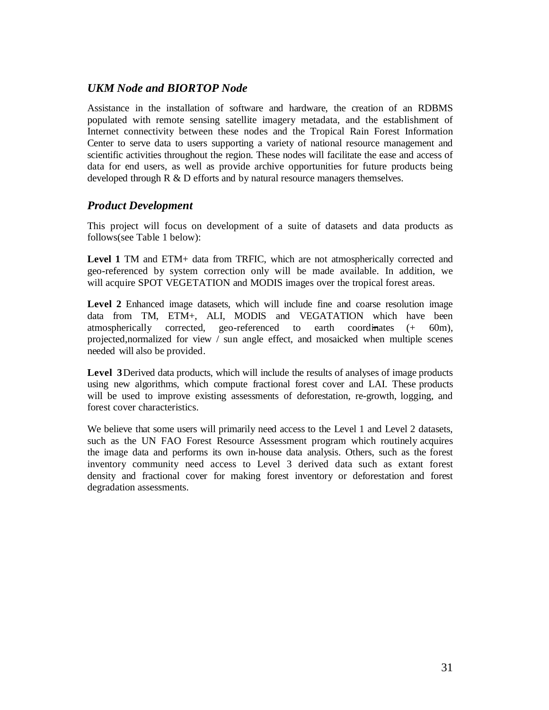### *UKM Node and BIORTOP Node*

Assistance in the installation of software and hardware, the creation of an RDBMS populated with remote sensing satellite imagery metadata, and the establishment of Internet connectivity between these nodes and the Tropical Rain Forest Information Center to serve data to users supporting a variety of national resource management and scientific activities throughout the region. These nodes will facilitate the ease and access of data for end users, as well as provide archive opportunities for future products being developed through R & D efforts and by natural resource managers themselves.

#### *Product Development*

This project will focus on development of a suite of datasets and data products as follows(see Table 1 below):

**Level 1** TM and ETM+ data from TRFIC, which are not atmospherically corrected and geo-referenced by system correction only will be made available. In addition, we will acquire SPOT VEGETATION and MODIS images over the tropical forest areas.

Level 2 Enhanced image datasets, which will include fine and coarse resolution image data from TM, ETM+, ALI, MODIS and VEGATATION which have been atmospherically corrected, geo-referenced to earth coordinates (+ 60m), projected,normalized for view / sun angle effect, and mosaicked when multiple scenes needed will also be provided.

**Level 3** Derived data products, which will include the results of analyses of image products using new algorithms, which compute fractional forest cover and LAI. These products will be used to improve existing assessments of deforestation, re-growth, logging, and forest cover characteristics.

We believe that some users will primarily need access to the Level 1 and Level 2 datasets, such as the UN FAO Forest Resource Assessment program which routinely acquires the image data and performs its own in-house data analysis. Others, such as the forest inventory community need access to Level 3 derived data such as extant forest density and fractional cover for making forest inventory or deforestation and forest degradation assessments.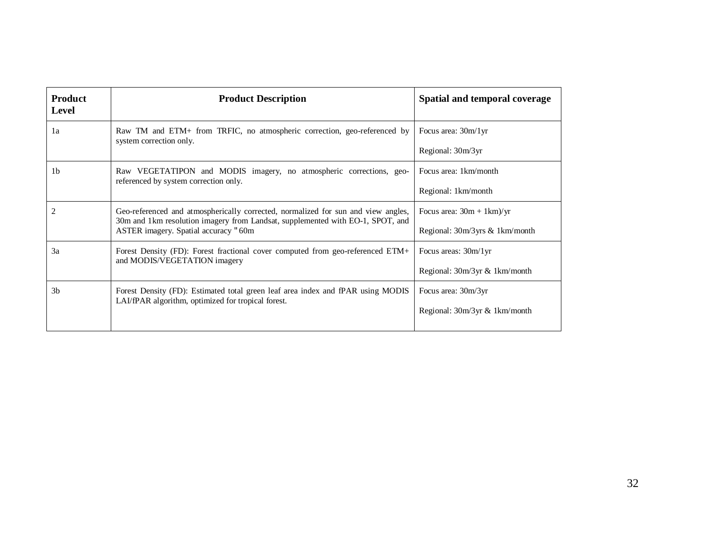| <b>Product</b><br><b>Level</b> | <b>Product Description</b>                                                                                                                                          | Spatial and temporal coverage  |  |  |  |
|--------------------------------|---------------------------------------------------------------------------------------------------------------------------------------------------------------------|--------------------------------|--|--|--|
| 1a                             | Raw TM and ETM+ from TRFIC, no atmospheric correction, geo-referenced by<br>system correction only.                                                                 | Focus area: 30m/1yr            |  |  |  |
|                                |                                                                                                                                                                     | Regional: 30m/3yr              |  |  |  |
| 1 <sub>b</sub>                 | Raw VEGETATIPON and MODIS imagery, no atmospheric corrections, geo-<br>referenced by system correction only.                                                        | Focus area: 1km/month          |  |  |  |
|                                |                                                                                                                                                                     | Regional: 1km/month            |  |  |  |
| $\overline{2}$                 | Geo-referenced and atmospherically corrected, normalized for sun and view angles,<br>30m and 1km resolution imagery from Landsat, supplemented with EO-1, SPOT, and | Focus area: $30m + 1km$ /yr    |  |  |  |
|                                | ASTER imagery. Spatial accuracy 360m                                                                                                                                | Regional: 30m/3yrs & 1km/month |  |  |  |
| 3a                             | Forest Density (FD): Forest fractional cover computed from geo-referenced ETM+<br>and MODIS/VEGETATION imagery                                                      | Focus areas: 30m/1yr           |  |  |  |
|                                |                                                                                                                                                                     | Regional: 30m/3yr & 1km/month  |  |  |  |
| 3 <sub>b</sub>                 | Forest Density (FD): Estimated total green leaf area index and fPAR using MODIS<br>LAI/fPAR algorithm, optimized for tropical forest.                               | Focus area: 30m/3yr            |  |  |  |
|                                |                                                                                                                                                                     | Regional: 30m/3yr & 1km/month  |  |  |  |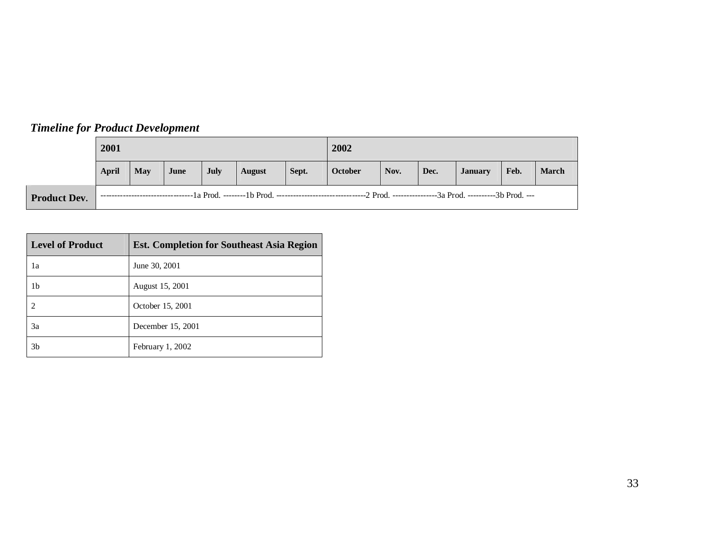|                     | 2001  |     |      |             |               |       | 2002    |      |      |                |      |              |
|---------------------|-------|-----|------|-------------|---------------|-------|---------|------|------|----------------|------|--------------|
|                     | April | May | June | <b>July</b> | <b>August</b> | Sept. | October | Nov. | Dec. | <b>January</b> | Feb. | <b>March</b> |
| <b>Product Dev.</b> |       |     |      |             |               |       |         |      |      |                |      |              |

| <b>Level of Product</b>     | <b>Est. Completion for Southeast Asia Region</b> |
|-----------------------------|--------------------------------------------------|
| 1a                          | June 30, 2001                                    |
| 1b                          | August 15, 2001                                  |
| $\mathcal{D}_{\mathcal{A}}$ | October 15, 2001                                 |
| 3a                          | December 15, 2001                                |
| 3 <sub>b</sub>              | February 1, 2002                                 |